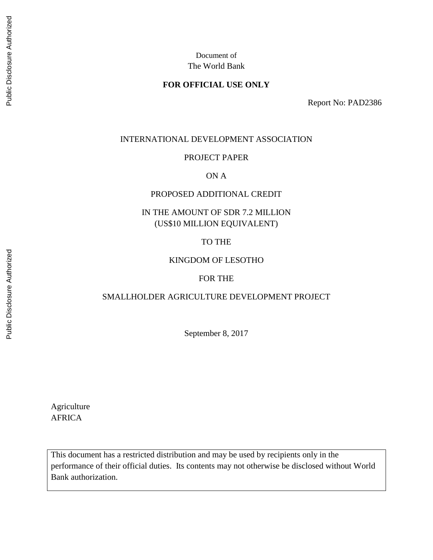## **FOR OFFICIAL USE ONLY**

Report No: PAD2386

#### INTERNATIONAL DEVELOPMENT ASSOCIATION

#### PROJECT PAPER

### ON A

#### PROPOSED ADDITIONAL CREDIT

# IN THE AMOUNT OF SDR 7.2 MILLION (US\$10 MILLION EQUIVALENT)

#### TO THE

#### KINGDOM OF LESOTHO

#### FOR THE

## SMALLHOLDER AGRICULTURE DEVELOPMENT PROJECT

September 8, 2017

Agriculture AFRICA

This document has a restricted distribution and may be used by recipients only in the performance of their official duties. Its contents may not otherwise be disclosed without World Bank authorization.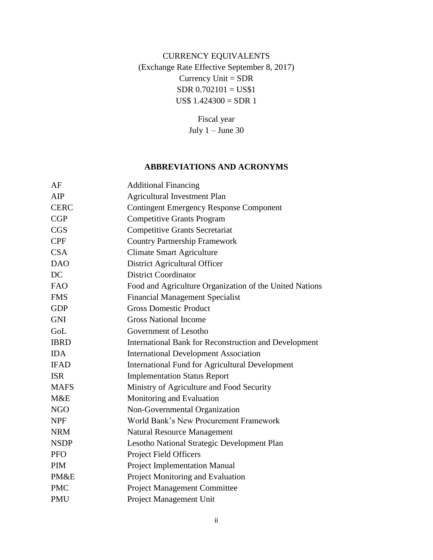# CURRENCY EQUIVALENTS (Exchange Rate Effective September 8, 2017) Currency Unit = SDR  $SDR 0.702101 = US$1$ US\$ 1.424300 = SDR 1

Fiscal year July 1 – June 30

#### **ABBREVIATIONS AND ACRONYMS**

| <b>Additional Financing</b>                             |
|---------------------------------------------------------|
| <b>Agricultural Investment Plan</b>                     |
| <b>Contingent Emergency Response Component</b>          |
| <b>Competitive Grants Program</b>                       |
| <b>Competitive Grants Secretariat</b>                   |
| <b>Country Partnership Framework</b>                    |
| <b>Climate Smart Agriculture</b>                        |
| District Agricultural Officer                           |
| <b>District Coordinator</b>                             |
| Food and Agriculture Organization of the United Nations |
| <b>Financial Management Specialist</b>                  |
| <b>Gross Domestic Product</b>                           |
| <b>Gross National Income</b>                            |
| Government of Lesotho                                   |
| International Bank for Reconstruction and Development   |
| <b>International Development Association</b>            |
| <b>International Fund for Agricultural Development</b>  |
| <b>Implementation Status Report</b>                     |
| Ministry of Agriculture and Food Security               |
| Monitoring and Evaluation                               |
| Non-Governmental Organization                           |
| World Bank's New Procurement Framework                  |
| <b>Natural Resource Management</b>                      |
| Lesotho National Strategic Development Plan             |
| Project Field Officers                                  |
| Project Implementation Manual                           |
| Project Monitoring and Evaluation                       |
| <b>Project Management Committee</b>                     |
| Project Management Unit                                 |
|                                                         |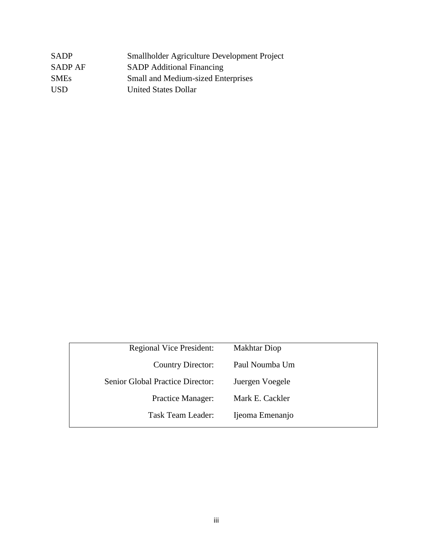| <b>SADP</b> | Smallholder Agriculture Development Project |
|-------------|---------------------------------------------|
| SADP AF     | <b>SADP</b> Additional Financing            |
| <b>SMEs</b> | <b>Small and Medium-sized Enterprises</b>   |
| USD.        | <b>United States Dollar</b>                 |

| <b>Regional Vice President:</b>  | <b>Makhtar Diop</b> |
|----------------------------------|---------------------|
| <b>Country Director:</b>         | Paul Noumba Um      |
| Senior Global Practice Director: | Juergen Voegele     |
| <b>Practice Manager:</b>         | Mark E. Cackler     |
| Task Team Leader:                | Ijeoma Emenanjo     |
|                                  |                     |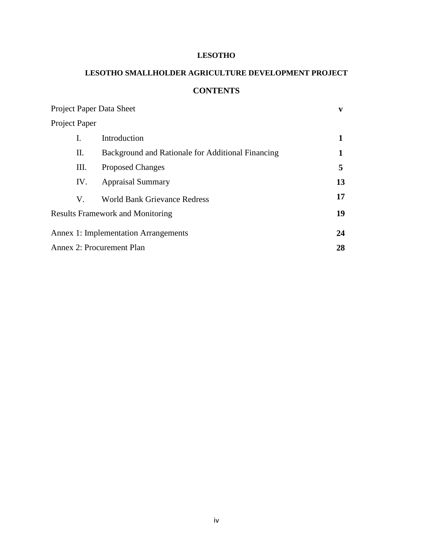#### **LESOTHO**

# **LESOTHO SMALLHOLDER AGRICULTURE DEVELOPMENT PROJECT CONTENTS**

|               |     | <b>Project Paper Data Sheet</b>                   | V  |
|---------------|-----|---------------------------------------------------|----|
| Project Paper |     |                                                   |    |
| L             |     | Introduction                                      | 1  |
|               | П.  | Background and Rationale for Additional Financing | 1  |
|               | Ш.  | <b>Proposed Changes</b>                           | 5  |
|               | IV. | <b>Appraisal Summary</b>                          | 13 |
|               | V.  | <b>World Bank Grievance Redress</b>               | 17 |
|               |     | <b>Results Framework and Monitoring</b>           | 19 |
|               |     | <b>Annex 1: Implementation Arrangements</b>       | 24 |
|               |     | Annex 2: Procurement Plan                         | 28 |
|               |     |                                                   |    |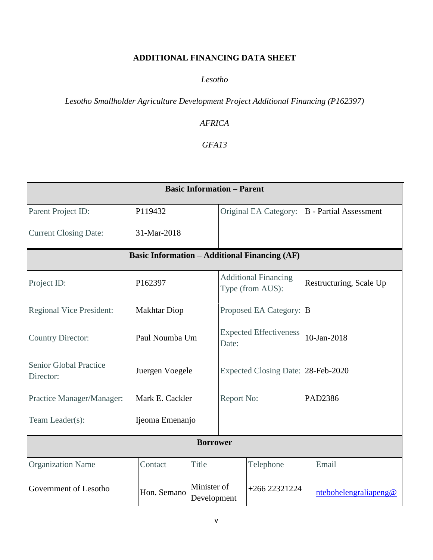# **ADDITIONAL FINANCING DATA SHEET**

## *Lesotho*

*Lesotho Smallholder Agriculture Development Project Additional Financing (P162397)*

# *AFRICA*

# *GFA13*

| <b>Basic Information - Parent</b>          |                                                            |                                                          |                         |                                                      |                                              |
|--------------------------------------------|------------------------------------------------------------|----------------------------------------------------------|-------------------------|------------------------------------------------------|----------------------------------------------|
| Parent Project ID:                         | P119432                                                    |                                                          |                         |                                                      | Original EA Category: B - Partial Assessment |
| <b>Current Closing Date:</b>               | 31-Mar-2018                                                |                                                          |                         |                                                      |                                              |
|                                            |                                                            |                                                          |                         | <b>Basic Information – Additional Financing (AF)</b> |                                              |
| Project ID:                                | <b>Additional Financing</b><br>P162397<br>Type (from AUS): |                                                          | Restructuring, Scale Up |                                                      |                                              |
| <b>Regional Vice President:</b>            | <b>Makhtar Diop</b><br>Proposed EA Category: B             |                                                          |                         |                                                      |                                              |
| <b>Country Director:</b>                   |                                                            | <b>Expected Effectiveness</b><br>Paul Noumba Um<br>Date: |                         | $10 - Jan - 2018$                                    |                                              |
| <b>Senior Global Practice</b><br>Director: | Juergen Voegele<br>Expected Closing Date: 28-Feb-2020      |                                                          |                         |                                                      |                                              |
| Practice Manager/Manager:                  | Mark E. Cackler                                            |                                                          | Report No:              |                                                      | PAD2386                                      |
| Team Leader(s):                            | Ijeoma Emenanjo                                            |                                                          |                         |                                                      |                                              |
| <b>Borrower</b>                            |                                                            |                                                          |                         |                                                      |                                              |
| <b>Organization Name</b>                   | Contact                                                    | <b>Title</b>                                             |                         | Telephone                                            | Email                                        |
| Government of Lesotho                      | Hon. Semano                                                | Minister of<br>Development                               |                         | $+26622321224$                                       | ntebohelengraliapeng@                        |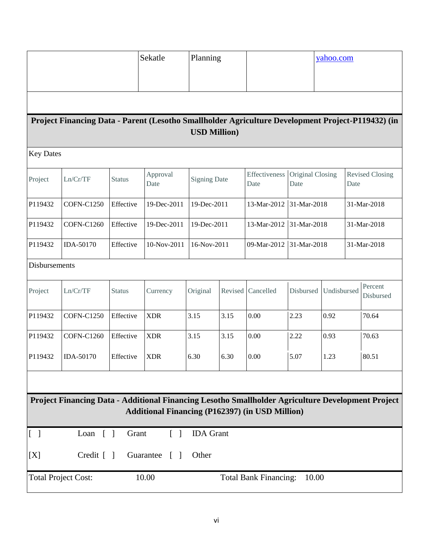|                                                                                                                                                             |                                                                                                   |               | Sekatle          | Planning             |                            | yahoo.com                    |                            |             |      |                        |
|-------------------------------------------------------------------------------------------------------------------------------------------------------------|---------------------------------------------------------------------------------------------------|---------------|------------------|----------------------|----------------------------|------------------------------|----------------------------|-------------|------|------------------------|
|                                                                                                                                                             |                                                                                                   |               |                  |                      |                            |                              |                            |             |      |                        |
|                                                                                                                                                             |                                                                                                   |               |                  |                      |                            |                              |                            |             |      |                        |
|                                                                                                                                                             | Project Financing Data - Parent (Lesotho Smallholder Agriculture Development Project-P119432) (in |               |                  | <b>USD Million</b> ) |                            |                              |                            |             |      |                        |
| <b>Key Dates</b>                                                                                                                                            |                                                                                                   |               |                  |                      |                            |                              |                            |             |      |                        |
| Project                                                                                                                                                     | Ln/Cr/TF                                                                                          | <b>Status</b> | Approval<br>Date | <b>Signing Date</b>  |                            | Effectiveness<br>Date        | Original Closing<br>Date   |             | Date | <b>Revised Closing</b> |
| P119432                                                                                                                                                     | <b>COFN-C1250</b>                                                                                 | Effective     | 19-Dec-2011      | 19-Dec-2011          |                            | 13-Mar-2012                  | 31-Mar-2018                |             |      | 31-Mar-2018            |
| P119432                                                                                                                                                     | <b>COFN-C1260</b>                                                                                 | Effective     | 19-Dec-2011      |                      | 19-Dec-2011<br>13-Mar-2012 |                              | 31-Mar-2018<br>31-Mar-2018 |             |      |                        |
| P119432                                                                                                                                                     | IDA-50170                                                                                         | Effective     | 10-Nov-2011      | 16-Nov-2011          |                            | 09-Mar-2012                  | 31-Mar-2018                |             |      | 31-Mar-2018            |
| Disbursements                                                                                                                                               |                                                                                                   |               |                  |                      |                            |                              |                            |             |      |                        |
| Project                                                                                                                                                     | Ln/Cr/TF                                                                                          | <b>Status</b> | Currency         | Original             | Revised                    | Cancelled                    | Disbursed                  | Undisbursed |      | Percent<br>Disbursed   |
| P119432                                                                                                                                                     | <b>COFN-C1250</b>                                                                                 | Effective     | <b>XDR</b>       | 3.15                 | 3.15                       | 0.00                         | 2.23                       | 0.92        |      | 70.64                  |
| P119432                                                                                                                                                     | <b>COFN-C1260</b>                                                                                 | Effective     | <b>XDR</b>       | 3.15                 | 3.15                       | 0.00                         | 2.22                       | 0.93        |      | 70.63                  |
| P119432                                                                                                                                                     | IDA-50170                                                                                         | Effective     | <b>XDR</b>       | 6.30                 | 6.30                       | 0.00                         | 5.07                       | 1.23        |      | 80.51                  |
|                                                                                                                                                             |                                                                                                   |               |                  |                      |                            |                              |                            |             |      |                        |
| Project Financing Data - Additional Financing Lesotho Smallholder Agriculture Development Project<br><b>Additional Financing (P162397) (in USD Million)</b> |                                                                                                   |               |                  |                      |                            |                              |                            |             |      |                        |
| [1]                                                                                                                                                         | Loan $\lceil$ $\rceil$                                                                            | Grant         | $\lceil \rceil$  | <b>IDA</b> Grant     |                            |                              |                            |             |      |                        |
| [X]                                                                                                                                                         | Credit $[$ $]$                                                                                    |               | Guarantee [ ]    | Other                |                            |                              |                            |             |      |                        |
|                                                                                                                                                             | <b>Total Project Cost:</b>                                                                        |               | 10.00            |                      |                            | <b>Total Bank Financing:</b> | 10.00                      |             |      |                        |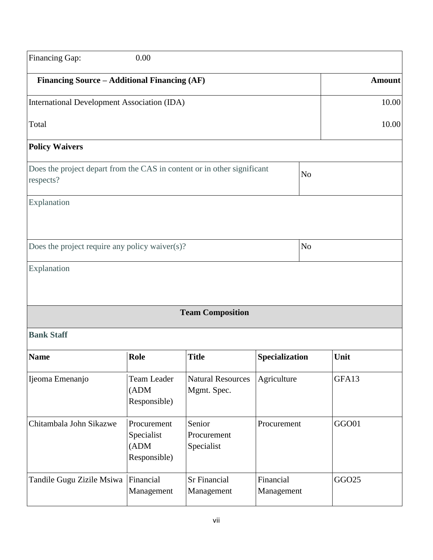| Financing Gap:                                                                       | 0.00                                              |                                         |                         |                |               |
|--------------------------------------------------------------------------------------|---------------------------------------------------|-----------------------------------------|-------------------------|----------------|---------------|
| Financing Source - Additional Financing (AF)                                         |                                                   |                                         |                         |                | <b>Amount</b> |
| International Development Association (IDA)                                          |                                                   |                                         |                         |                | 10.00         |
| Total                                                                                |                                                   |                                         |                         |                | 10.00         |
| <b>Policy Waivers</b>                                                                |                                                   |                                         |                         |                |               |
| Does the project depart from the CAS in content or in other significant<br>respects? |                                                   |                                         |                         | N <sub>o</sub> |               |
| Explanation                                                                          |                                                   |                                         |                         |                |               |
| Does the project require any policy waiver $(s)$ ?                                   |                                                   |                                         |                         | N <sub>o</sub> |               |
| Explanation                                                                          |                                                   |                                         |                         |                |               |
|                                                                                      |                                                   | <b>Team Composition</b>                 |                         |                |               |
| <b>Bank Staff</b>                                                                    |                                                   |                                         |                         |                |               |
| <b>Name</b>                                                                          | Role                                              | <b>Title</b>                            | Specialization          |                | Unit          |
| Ijeoma Emenanjo                                                                      | <b>Team Leader</b><br>(ADM)<br>Responsible)       | <b>Natural Resources</b><br>Mgmt. Spec. | Agriculture             |                | GFA13         |
| Chitambala John Sikazwe                                                              | Procurement<br>Specialist<br>(ADM<br>Responsible) | Senior<br>Procurement<br>Specialist     | Procurement             |                | GGO01         |
| Tandile Gugu Zizile Msiwa                                                            | Financial<br>Management                           | <b>Sr Financial</b><br>Management       | Financial<br>Management |                | GGO25         |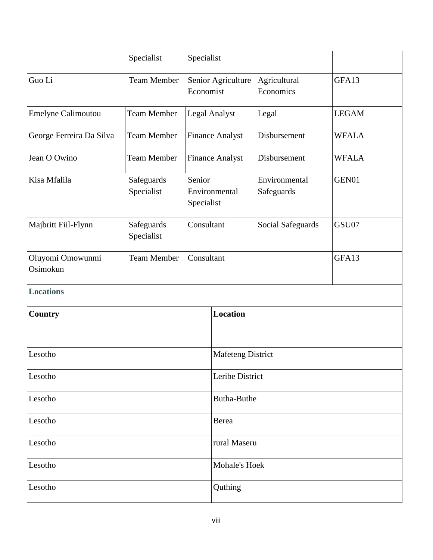|                              | Specialist               | Specialist                            |                          |                             |              |
|------------------------------|--------------------------|---------------------------------------|--------------------------|-----------------------------|--------------|
| Guo Li                       | <b>Team Member</b>       | Senior Agriculture<br>Economist       |                          | Agricultural<br>Economics   | GFA13        |
| Emelyne Calimoutou           | <b>Team Member</b>       |                                       | <b>Legal Analyst</b>     | Legal                       | <b>LEGAM</b> |
| George Ferreira Da Silva     | <b>Team Member</b>       |                                       | <b>Finance Analyst</b>   | Disbursement                | <b>WFALA</b> |
| Jean O Owino                 | <b>Team Member</b>       |                                       | <b>Finance Analyst</b>   | Disbursement                | <b>WFALA</b> |
| Kisa Mfalila                 | Safeguards<br>Specialist | Senior<br>Environmental<br>Specialist |                          | Environmental<br>Safeguards | GEN01        |
| Majbritt Fiil-Flynn          | Safeguards<br>Specialist | Consultant                            |                          | Social Safeguards           | GSU07        |
| Oluyomi Omowunmi<br>Osimokun | <b>Team Member</b>       | Consultant                            |                          |                             | GFA13        |
| <b>Locations</b>             |                          |                                       |                          |                             |              |
| Country                      |                          |                                       | <b>Location</b>          |                             |              |
| Lesotho                      |                          |                                       | <b>Mafeteng District</b> |                             |              |
| Lesotho                      |                          |                                       | Leribe District          |                             |              |
| Lesotho                      |                          | Butha-Buthe                           |                          |                             |              |
| Lesotho                      |                          | Berea                                 |                          |                             |              |
| Lesotho                      |                          | rural Maseru                          |                          |                             |              |
| Lesotho                      |                          |                                       | Mohale's Hoek            |                             |              |
| Lesotho                      |                          |                                       | Quthing                  |                             |              |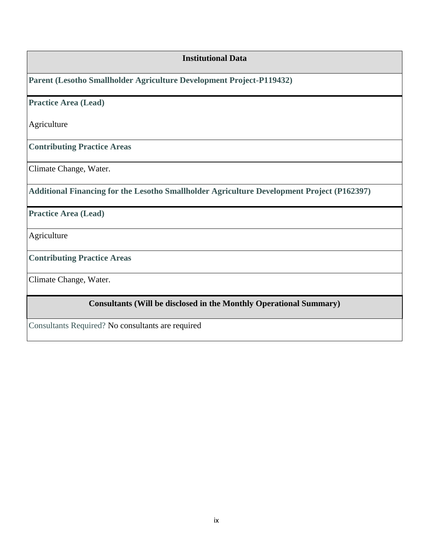| <b>Institutional Data</b>                                                                  |
|--------------------------------------------------------------------------------------------|
| Parent (Lesotho Smallholder Agriculture Development Project-P119432)                       |
| <b>Practice Area (Lead)</b>                                                                |
| Agriculture                                                                                |
| <b>Contributing Practice Areas</b>                                                         |
| Climate Change, Water.                                                                     |
| Additional Financing for the Lesotho Smallholder Agriculture Development Project (P162397) |
| <b>Practice Area (Lead)</b>                                                                |
| Agriculture                                                                                |
| <b>Contributing Practice Areas</b>                                                         |
| Climate Change, Water.                                                                     |
| <b>Consultants (Will be disclosed in the Monthly Operational Summary)</b>                  |
| Consultants Required? No consultants are required                                          |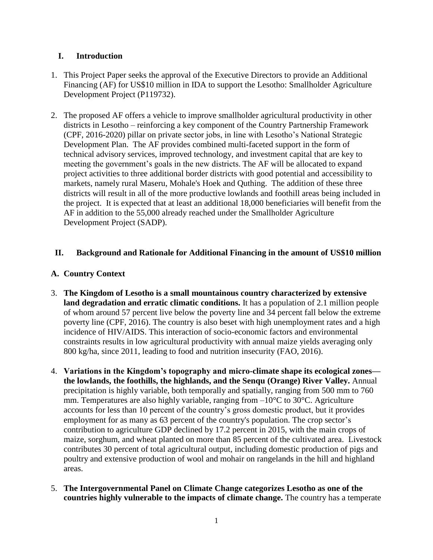## **I. Introduction**

- 1. This Project Paper seeks the approval of the Executive Directors to provide an Additional Financing (AF) for US\$10 million in IDA to support the Lesotho: Smallholder Agriculture Development Project (P119732).
- 2. The proposed AF offers a vehicle to improve smallholder agricultural productivity in other districts in Lesotho – reinforcing a key component of the Country Partnership Framework (CPF, 2016-2020) pillar on private sector jobs, in line with Lesotho's National Strategic Development Plan. The AF provides combined multi-faceted support in the form of technical advisory services, improved technology, and investment capital that are key to meeting the government's goals in the new districts. The AF will be allocated to expand project activities to three additional border districts with good potential and accessibility to markets, namely rural Maseru, Mohale's Hoek and Quthing. The addition of these three districts will result in all of the more productive lowlands and foothill areas being included in the project. It is expected that at least an additional 18,000 beneficiaries will benefit from the AF in addition to the 55,000 already reached under the Smallholder Agriculture Development Project (SADP).

## **II. Background and Rationale for Additional Financing in the amount of US\$10 million**

## **A. Country Context**

- 3. **The Kingdom of Lesotho is a small mountainous country characterized by extensive land degradation and erratic climatic conditions.** It has a population of 2.1 million people of whom around 57 percent live below the poverty line and 34 percent fall below the extreme poverty line (CPF, 2016). The country is also beset with high unemployment rates and a high incidence of HIV/AIDS. This interaction of socio-economic factors and environmental constraints results in low agricultural productivity with annual maize yields averaging only 800 kg/ha, since 2011, leading to food and nutrition insecurity (FAO, 2016).
- 4. **Variations in the Kingdom's topography and micro-climate shape its ecological zones the lowlands, the foothills, the highlands, and the Senqu (Orange) River Valley.** Annual precipitation is highly variable, both temporally and spatially, ranging from 500 mm to 760 mm. Temperatures are also highly variable, ranging from –10°C to 30°C. Agriculture accounts for less than 10 percent of the country's gross domestic product, but it provides employment for as many as 63 percent of the country's population. The crop sector's contribution to agriculture GDP declined by 17.2 percent in 2015, with the main crops of maize, sorghum, and wheat planted on more than 85 percent of the cultivated area. Livestock contributes 30 percent of total agricultural output, including domestic production of pigs and poultry and extensive production of wool and mohair on rangelands in the hill and highland areas.
- 5. **The Intergovernmental Panel on Climate Change categorizes Lesotho as one of the countries highly vulnerable to the impacts of climate change.** The country has a temperate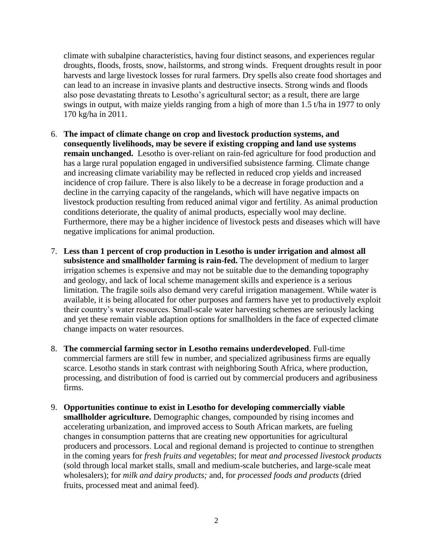climate with subalpine characteristics, having four distinct seasons, and experiences regular droughts, floods, frosts, snow, hailstorms, and strong winds. Frequent droughts result in poor harvests and large livestock losses for rural farmers. Dry spells also create food shortages and can lead to an increase in invasive plants and destructive insects. Strong winds and floods also pose devastating threats to Lesotho's agricultural sector; as a result, there are large swings in output, with maize yields ranging from a high of more than 1.5 t/ha in 1977 to only 170 kg/ha in 2011.

- 6. **The impact of climate change on crop and livestock production systems, and consequently livelihoods, may be severe if existing cropping and land use systems remain unchanged.** Lesotho is over-reliant on rain-fed agriculture for food production and has a large rural population engaged in undiversified subsistence farming. Climate change and increasing climate variability may be reflected in reduced crop yields and increased incidence of crop failure. There is also likely to be a decrease in forage production and a decline in the carrying capacity of the rangelands, which will have negative impacts on livestock production resulting from reduced animal vigor and fertility. As animal production conditions deteriorate, the quality of animal products, especially wool may decline. Furthermore, there may be a higher incidence of livestock pests and diseases which will have negative implications for animal production.
- 7. **Less than 1 percent of crop production in Lesotho is under irrigation and almost all subsistence and smallholder farming is rain-fed.** The development of medium to larger irrigation schemes is expensive and may not be suitable due to the demanding topography and geology, and lack of local scheme management skills and experience is a serious limitation. The fragile soils also demand very careful irrigation management. While water is available, it is being allocated for other purposes and farmers have yet to productively exploit their country's water resources. Small-scale water harvesting schemes are seriously lacking and yet these remain viable adaption options for smallholders in the face of expected climate change impacts on water resources.
- 8. **The commercial farming sector in Lesotho remains underdeveloped**. Full-time commercial farmers are still few in number, and specialized agribusiness firms are equally scarce. Lesotho stands in stark contrast with neighboring South Africa, where production, processing, and distribution of food is carried out by commercial producers and agribusiness firms.
- 9. **Opportunities continue to exist in Lesotho for developing commercially viable smallholder agriculture.** Demographic changes, compounded by rising incomes and accelerating urbanization, and improved access to South African markets, are fueling changes in consumption patterns that are creating new opportunities for agricultural producers and processors. Local and regional demand is projected to continue to strengthen in the coming years for *fresh fruits and vegetables*; for *meat and processed livestock products*  (sold through local market stalls, small and medium-scale butcheries, and large-scale meat wholesalers); for *milk and dairy products;* and, for *processed foods and products* (dried fruits, processed meat and animal feed).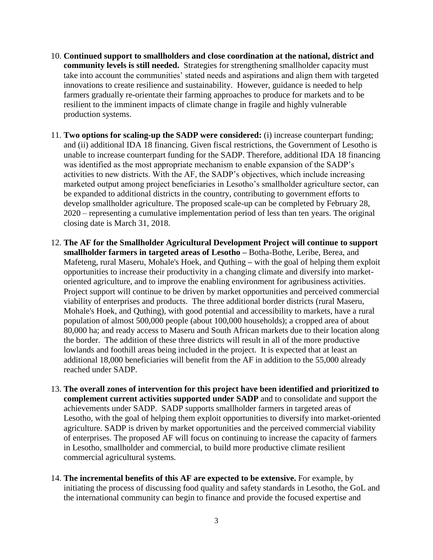- 10. **Continued support to smallholders and close coordination at the national, district and community levels is still needed.** Strategies for strengthening smallholder capacity must take into account the communities' stated needs and aspirations and align them with targeted innovations to create resilience and sustainability. However, guidance is needed to help farmers gradually re-orientate their farming approaches to produce for markets and to be resilient to the imminent impacts of climate change in fragile and highly vulnerable production systems.
- 11. **Two options for scaling-up the SADP were considered:** (i) increase counterpart funding; and (ii) additional IDA 18 financing. Given fiscal restrictions, the Government of Lesotho is unable to increase counterpart funding for the SADP. Therefore, additional IDA 18 financing was identified as the most appropriate mechanism to enable expansion of the SADP's activities to new districts. With the AF, the SADP's objectives, which include increasing marketed output among project beneficiaries in Lesotho's smallholder agriculture sector, can be expanded to additional districts in the country, contributing to government efforts to develop smallholder agriculture. The proposed scale-up can be completed by February 28, 2020 – representing a cumulative implementation period of less than ten years. The original closing date is March 31, 2018.
- 12. **The AF for the Smallholder Agricultural Development Project will continue to support smallholder farmers in targeted areas of Lesotho –** Botha-Bothe, Leribe, Berea, and Mafeteng, rural Maseru, Mohale's Hoek, and Quthing **–** with the goal of helping them exploit opportunities to increase their productivity in a changing climate and diversify into marketoriented agriculture, and to improve the enabling environment for agribusiness activities. Project support will continue to be driven by market opportunities and perceived commercial viability of enterprises and products. The three additional border districts (rural Maseru, Mohale's Hoek, and Quthing), with good potential and accessibility to markets, have a rural population of almost 500,000 people (about 100,000 households); a cropped area of about 80,000 ha; and ready access to Maseru and South African markets due to their location along the border. The addition of these three districts will result in all of the more productive lowlands and foothill areas being included in the project. It is expected that at least an additional 18,000 beneficiaries will benefit from the AF in addition to the 55,000 already reached under SADP.
- 13. **The overall zones of intervention for this project have been identified and prioritized to complement current activities supported under SADP** and to consolidate and support the achievements under SADP. SADP supports smallholder farmers in targeted areas of Lesotho, with the goal of helping them exploit opportunities to diversify into market-oriented agriculture. SADP is driven by market opportunities and the perceived commercial viability of enterprises. The proposed AF will focus on continuing to increase the capacity of farmers in Lesotho, smallholder and commercial, to build more productive climate resilient commercial agricultural systems.
- 14. **The incremental benefits of this AF are expected to be extensive.** For example, by initiating the process of discussing food quality and safety standards in Lesotho, the GoL and the international community can begin to finance and provide the focused expertise and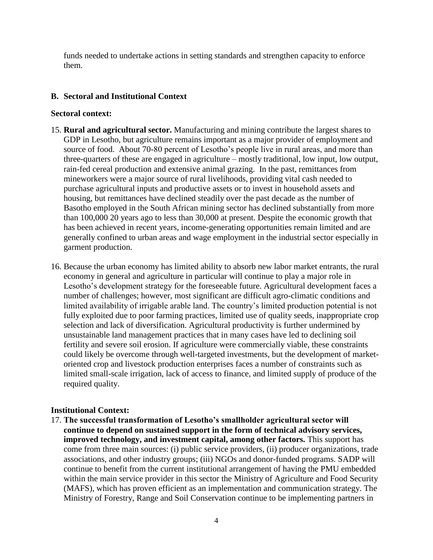funds needed to undertake actions in setting standards and strengthen capacity to enforce them.

## **B. Sectoral and Institutional Context**

#### **Sectoral context:**

- 15. **Rural and agricultural sector.** Manufacturing and mining contribute the largest shares to GDP in Lesotho, but agriculture remains important as a major provider of employment and source of food. About 70-80 percent of Lesotho's people live in rural areas, and more than three-quarters of these are engaged in agriculture – mostly traditional, low input, low output, rain-fed cereal production and extensive animal grazing. In the past, remittances from mineworkers were a major source of rural livelihoods, providing vital cash needed to purchase agricultural inputs and productive assets or to invest in household assets and housing, but remittances have declined steadily over the past decade as the number of Basotho employed in the South African mining sector has declined substantially from more than 100,000 20 years ago to less than 30,000 at present. Despite the economic growth that has been achieved in recent years, income-generating opportunities remain limited and are generally confined to urban areas and wage employment in the industrial sector especially in garment production.
- 16. Because the urban economy has limited ability to absorb new labor market entrants, the rural economy in general and agriculture in particular will continue to play a major role in Lesotho's development strategy for the foreseeable future. Agricultural development faces a number of challenges; however, most significant are difficult agro-climatic conditions and limited availability of irrigable arable land. The country's limited production potential is not fully exploited due to poor farming practices, limited use of quality seeds, inappropriate crop selection and lack of diversification. Agricultural productivity is further undermined by unsustainable land management practices that in many cases have led to declining soil fertility and severe soil erosion. If agriculture were commercially viable, these constraints could likely be overcome through well-targeted investments, but the development of marketoriented crop and livestock production enterprises faces a number of constraints such as limited small-scale irrigation, lack of access to finance, and limited supply of produce of the required quality.

## **Institutional Context:**

17. **The successful transformation of Lesotho's smallholder agricultural sector will continue to depend on sustained support in the form of technical advisory services, improved technology, and investment capital, among other factors.** This support has come from three main sources: (i) public service providers, (ii) producer organizations, trade associations, and other industry groups; (iii) NGOs and donor-funded programs. SADP will continue to benefit from the current institutional arrangement of having the PMU embedded within the main service provider in this sector the Ministry of Agriculture and Food Security (MAFS), which has proven efficient as an implementation and communication strategy. The Ministry of Forestry, Range and Soil Conservation continue to be implementing partners in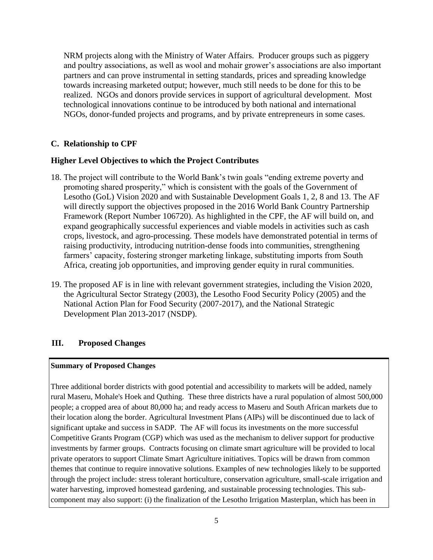NRM projects along with the Ministry of Water Affairs. Producer groups such as piggery and poultry associations, as well as wool and mohair grower's associations are also important partners and can prove instrumental in setting standards, prices and spreading knowledge towards increasing marketed output; however, much still needs to be done for this to be realized. NGOs and donors provide services in support of agricultural development. Most technological innovations continue to be introduced by both national and international NGOs, donor-funded projects and programs, and by private entrepreneurs in some cases.

## **C. Relationship to CPF**

## **Higher Level Objectives to which the Project Contributes**

- 18. The project will contribute to the World Bank's twin goals "ending extreme poverty and promoting shared prosperity," which is consistent with the goals of the Government of Lesotho (GoL) Vision 2020 and with Sustainable Development Goals 1, 2, 8 and 13. The AF will directly support the objectives proposed in the 2016 World Bank Country Partnership Framework (Report Number 106720). As highlighted in the CPF, the AF will build on, and expand geographically successful experiences and viable models in activities such as cash crops, livestock, and agro-processing. These models have demonstrated potential in terms of raising productivity, introducing nutrition-dense foods into communities, strengthening farmers' capacity, fostering stronger marketing linkage, substituting imports from South Africa, creating job opportunities, and improving gender equity in rural communities.
- 19. The proposed AF is in line with relevant government strategies, including the Vision 2020, the Agricultural Sector Strategy (2003), the Lesotho Food Security Policy (2005) and the National Action Plan for Food Security (2007-2017), and the National Strategic Development Plan 2013-2017 (NSDP).

## **III. Proposed Changes**

#### **Summary of Proposed Changes**

Three additional border districts with good potential and accessibility to markets will be added, namely rural Maseru, Mohale's Hoek and Quthing. These three districts have a rural population of almost 500,000 people; a cropped area of about 80,000 ha; and ready access to Maseru and South African markets due to their location along the border. Agricultural Investment Plans (AIPs) will be discontinued due to lack of significant uptake and success in SADP. The AF will focus its investments on the more successful Competitive Grants Program (CGP) which was used as the mechanism to deliver support for productive investments by farmer groups. Contracts focusing on climate smart agriculture will be provided to local private operators to support Climate Smart Agriculture initiatives. Topics will be drawn from common themes that continue to require innovative solutions. Examples of new technologies likely to be supported through the project include: stress tolerant horticulture, conservation agriculture, small-scale irrigation and water harvesting, improved homestead gardening, and sustainable processing technologies. This subcomponent may also support: (i) the finalization of the Lesotho Irrigation Masterplan, which has been in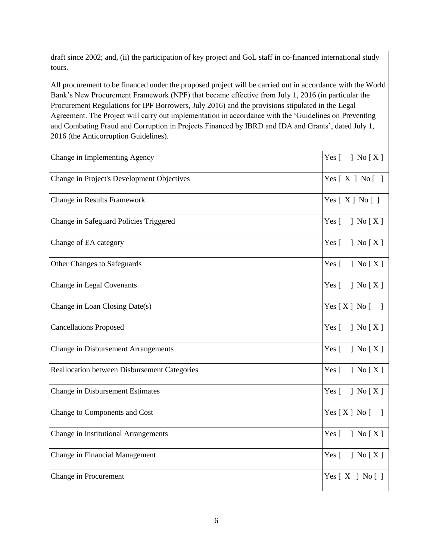draft since 2002; and, (ii) the participation of key project and GoL staff in co-financed international study tours.

All procurement to be financed under the proposed project will be carried out in accordance with the World Bank's New Procurement Framework (NPF) that became effective from July 1, 2016 (in particular the Procurement Regulations for IPF Borrowers, July 2016) and the provisions stipulated in the Legal Agreement. The Project will carry out implementation in accordance with the 'Guidelines on Preventing and Combating Fraud and Corruption in Projects Financed by IBRD and IDA and Grants', dated July 1, 2016 (the Anticorruption Guidelines).

| Change in Implementing Agency                | Yes [<br>$\left\lfloor \right.$ No $\left[ \right.$ X $\left. \right]$      |
|----------------------------------------------|-----------------------------------------------------------------------------|
| Change in Project's Development Objectives   | Yes $[X]$ No $[]$                                                           |
| Change in Results Framework                  | Yes $[X]$ No $[$ ]                                                          |
| Change in Safeguard Policies Triggered       | Yes $[$<br>$\left  \right.$ No $\left[ \right.$ X $\left. \right]$          |
| Change of EA category                        | Yes [<br>$\left\vert \right.$ No $\left[ \right.$ X $\left. \right]$        |
| Other Changes to Safeguards                  | Yes $\lceil$<br>$\left\lceil \right.$ No $\left[ X \right]$                 |
| Change in Legal Covenants                    | Yes $\lceil$<br>$\left\vert \right.$ No $\left[ \right.$ X $\left. \right]$ |
| Change in Loan Closing Date(s)               | Yes $[X]$ No $[$                                                            |
| <b>Cancellations Proposed</b>                | Yes [<br>$\left\vert \right.$ No $\left[ \right.$ X $\left. \right]$        |
| <b>Change in Disbursement Arrangements</b>   | Yes $[$<br>$\vert$ No $\vert$ X $\vert$                                     |
| Reallocation between Disbursement Categories | Yes [<br>$\vert$ No $\vert$ X $\vert$                                       |
| <b>Change in Disbursement Estimates</b>      | Yes [<br>$\vert$ No $\vert$ X $\vert$                                       |
| Change to Components and Cost                | Yes $[X]$ No $\lceil$<br>$\Box$                                             |
| Change in Institutional Arrangements         | Yes [<br>] No $[X]$                                                         |
| Change in Financial Management               | Yes [<br>$\left\vert \right.$ No $\left[ \right.$ X $\left. \right]$        |
| Change in Procurement                        | Yes $[X]$ No $[$ ]                                                          |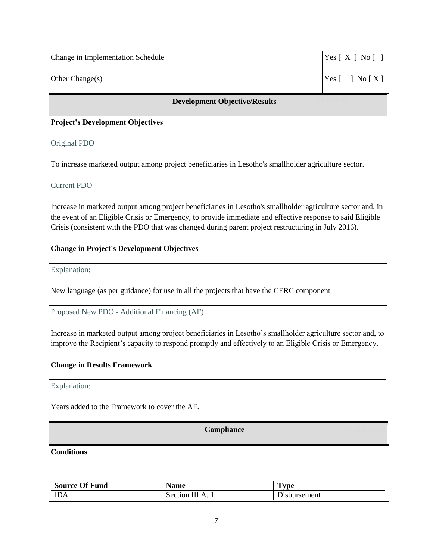| Change in Implementation Schedule | Yes [ X ] No [ ] |
|-----------------------------------|------------------|
| Other Change $(s)$                | $Yes$ [ ] No [X] |

#### **Development Objective/Results**

#### **Project's Development Objectives**

Original PDO

To increase marketed output among project beneficiaries in Lesotho's smallholder agriculture sector.

Current PDO

Increase in marketed output among project beneficiaries in Lesotho's smallholder agriculture sector and, in the event of an Eligible Crisis or Emergency, to provide immediate and effective response to said Eligible Crisis (consistent with the PDO that was changed during parent project restructuring in July 2016).

#### **Change in Project's Development Objectives**

Explanation:

New language (as per guidance) for use in all the projects that have the CERC component

Proposed New PDO - Additional Financing (AF)

Increase in marketed output among project beneficiaries in Lesotho's smallholder agriculture sector and, to improve the Recipient's capacity to respond promptly and effectively to an Eligible Crisis or Emergency.

#### **Change in Results Framework**

Explanation:

Years added to the Framework to cover the AF.

**Compliance** 

**Conditions**

| $\alpha$ f Fund<br><b>Source</b> | Name                      | m<br>`vne           |
|----------------------------------|---------------------------|---------------------|
| <b>IDA</b>                       | <sup>A</sup> .<br>Section | <b>Disbursement</b> |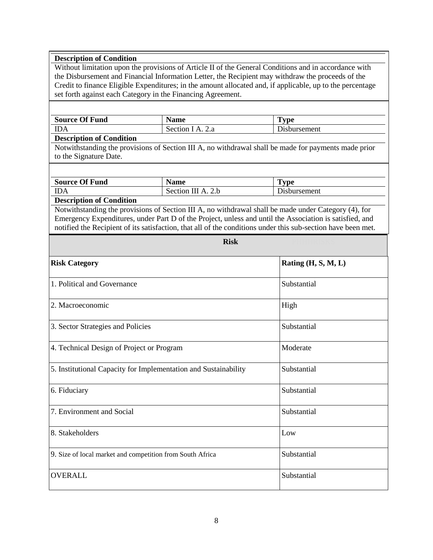# **Description of Condition** Without limitation upon the provisions of Article II of the General Conditions and in accordance with the Disbursement and Financial Information Letter, the Recipient may withdraw the proceeds of the Credit to finance Eligible Expenditures; in the amount allocated and, if applicable, up to the percentage set forth against each Category in the Financing Agreement. **Source Of Fund Name Type** IDA Section I A. 2.a Disbursement **Description of Condition**

Notwithstanding the provisions of Section III A, no withdrawal shall be made for payments made prior to the Signature Date.

| <b>Source Of Fund</b>                                                                  | <b>Name</b>           | $\mathbf{T}_{\mathbf{VDE}}$ |
|----------------------------------------------------------------------------------------|-----------------------|-----------------------------|
| <b>IDA</b>                                                                             | Section III A.<br>2.h | Disbursement                |
| $D_{\text{nonline}}$ $\mathcal{L}_{\text{out}}$ of $\mathcal{L}_{\text{out}}$ distance |                       |                             |

**Description of Condition**

Notwithstanding the provisions of Section III A, no withdrawal shall be made under Category (4), for Emergency Expenditures, under Part D of the Project, unless and until the Association is satisfied, and notified the Recipient of its satisfaction, that all of the conditions under this sub-section have been met.

 $Risk$ 

| <b>Risk Category</b>                                            | Rating (H, S, M, L) |
|-----------------------------------------------------------------|---------------------|
| 1. Political and Governance                                     | Substantial         |
| 2. Macroeconomic                                                | High                |
| 3. Sector Strategies and Policies                               | Substantial         |
| 4. Technical Design of Project or Program                       | Moderate            |
| 5. Institutional Capacity for Implementation and Sustainability | Substantial         |
| 6. Fiduciary                                                    | Substantial         |
| 7. Environment and Social                                       | Substantial         |
| 8. Stakeholders                                                 | Low                 |
| 9. Size of local market and competition from South Africa       | Substantial         |
| <b>OVERALL</b>                                                  | Substantial         |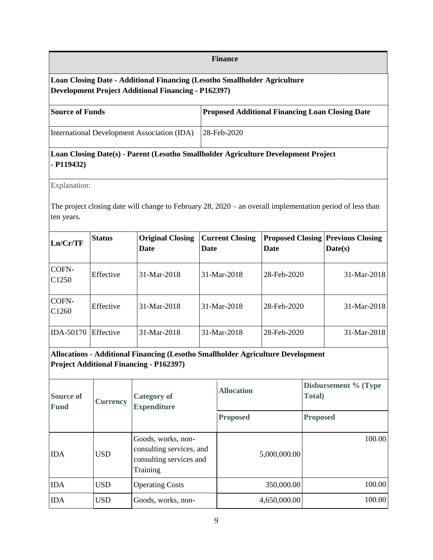#### **Finance**

## **Loan Closing Date - Additional Financing (Lesotho Smallholder Agriculture Development Project Additional Financing - P162397)**

| <b>Proposed Additional Financing Loan Closing Date</b><br><b>Source of Funds</b> |
|----------------------------------------------------------------------------------|
|----------------------------------------------------------------------------------|

International Development Association (IDA) 28-Feb-2020

## **Loan Closing Date(s) - Parent (Lesotho Smallholder Agriculture Development Project - P119432)**

Explanation:

The project closing date will change to February 28, 2020 – an overall implementation period of less than ten years.

| Ln/Cr/TF                   | <b>Status</b> | <b>Original Closing</b><br>Date | <b>Current Closing</b><br>Date | <b>Proposed Closing Previous Closing</b><br>Date | Date(s)       |
|----------------------------|---------------|---------------------------------|--------------------------------|--------------------------------------------------|---------------|
| COFN-<br>C <sub>1250</sub> | Effective     | 31-Mar-2018                     | 31-Mar-2018                    | 28-Feb-2020                                      | $31-Mar-2018$ |
| COFN-<br>C <sub>1260</sub> | Effective     | 31-Mar-2018                     | 31-Mar-2018                    | 28-Feb-2020                                      | $31-Mar-2018$ |
| <b>IDA-50170</b>           | Effective     | 31-Mar-2018                     | 31-Mar-2018                    | 28-Feb-2020                                      | $31-Mar-2018$ |

# **Allocations - Additional Financing (Lesotho Smallholder Agriculture Development Project Additional Financing - P162397)**

| <b>Source of</b><br><b>Fund</b> | <b>Currency</b> | <b>Category of</b><br><b>Expenditure</b>                                              | <b>Allocation</b> | Disbursement % (Type<br><b>Total</b> ) |  |
|---------------------------------|-----------------|---------------------------------------------------------------------------------------|-------------------|----------------------------------------|--|
|                                 |                 |                                                                                       | <b>Proposed</b>   | <b>Proposed</b>                        |  |
| <b>IDA</b>                      | <b>USD</b>      | Goods, works, non-<br>consulting services, and<br>consulting services and<br>Training | 5,000,000.00      | 100.00                                 |  |
| <b>IDA</b>                      | <b>USD</b>      | <b>Operating Costs</b>                                                                | 350,000.00        | 100.00                                 |  |
| <b>IDA</b>                      | <b>USD</b>      | Goods, works, non-                                                                    | 4,650,000.00      | 100.00                                 |  |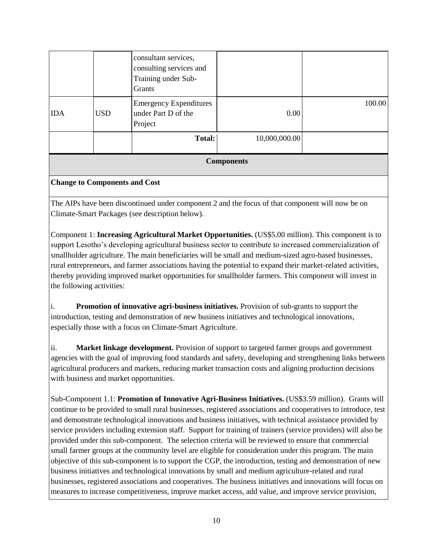|            |            | <b>Total:</b>                                                                    | 10,000,000.00 |        |
|------------|------------|----------------------------------------------------------------------------------|---------------|--------|
| <b>IDA</b> | <b>USD</b> | <b>Emergency Expenditures</b><br>under Part D of the<br>Project                  | 0.00          | 100.00 |
|            |            | consultant services,<br>consulting services and<br>Training under Sub-<br>Grants |               |        |

**Components**

#### **Change to Components and Cost**

The AIPs have been discontinued under component 2 and the focus of that component will now be on Climate-Smart Packages (see description below).

Component 1: **Increasing Agricultural Market Opportunities.** (US\$5.00 million). This component is to support Lesotho's developing agricultural business sector to contribute to increased commercialization of smallholder agriculture. The main beneficiaries will be small and medium-sized agro-based businesses, rural entrepreneurs, and farmer associations having the potential to expand their market-related activities, thereby providing improved market opportunities for smallholder farmers. This component will invest in the following activities:

i. **Promotion of innovative agri-business initiatives.** Provision of sub-grants to support the introduction, testing and demonstration of new business initiatives and technological innovations, especially those with a focus on Climate-Smart Agriculture.

ii. **Market linkage development.** Provision of support to targeted farmer groups and government agencies with the goal of improving food standards and safety, developing and strengthening links between agricultural producers and markets, reducing market transaction costs and aligning production decisions with business and market opportunities.

Sub-Component 1.1: **Promotion of Innovative Agri-Business Initiatives.** (US\$3.59 million). Grants will continue to be provided to small rural businesses, registered associations and cooperatives to introduce, test and demonstrate technological innovations and business initiatives, with technical assistance provided by service providers including extension staff. Support for training of trainers (service providers) will also be provided under this sub-component. The selection criteria will be reviewed to ensure that commercial small farmer groups at the community level are eligible for consideration under this program. The main objective of this sub-component is to support the CGP, the introduction, testing and demonstration of new business initiatives and technological innovations by small and medium agriculture-related and rural businesses, registered associations and cooperatives. The business initiatives and innovations will focus on measures to increase competitiveness, improve market access, add value, and improve service provision,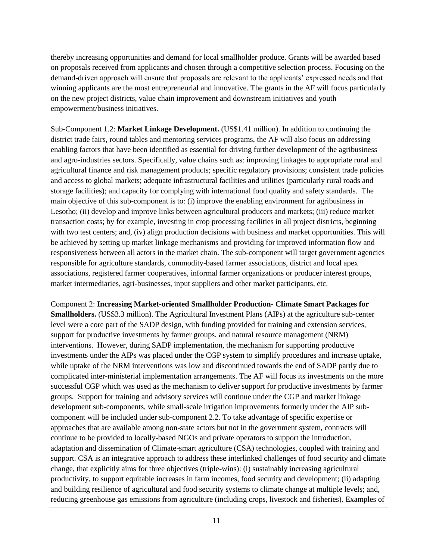thereby increasing opportunities and demand for local smallholder produce. Grants will be awarded based on proposals received from applicants and chosen through a competitive selection process. Focusing on the demand-driven approach will ensure that proposals are relevant to the applicants' expressed needs and that winning applicants are the most entrepreneurial and innovative. The grants in the AF will focus particularly on the new project districts, value chain improvement and downstream initiatives and youth empowerment/business initiatives.

Sub-Component 1.2: **Market Linkage Development.** (US\$1.41 million). In addition to continuing the district trade fairs, round tables and mentoring services programs, the AF will also focus on addressing enabling factors that have been identified as essential for driving further development of the agribusiness and agro-industries sectors. Specifically, value chains such as: improving linkages to appropriate rural and agricultural finance and risk management products; specific regulatory provisions; consistent trade policies and access to global markets; adequate infrastructural facilities and utilities (particularly rural roads and storage facilities); and capacity for complying with international food quality and safety standards. The main objective of this sub-component is to: (i) improve the enabling environment for agribusiness in Lesotho; (ii) develop and improve links between agricultural producers and markets; (iii) reduce market transaction costs; by for example, investing in crop processing facilities in all project districts, beginning with two test centers; and, (iv) align production decisions with business and market opportunities. This will be achieved by setting up market linkage mechanisms and providing for improved information flow and responsiveness between all actors in the market chain. The sub-component will target government agencies responsible for agriculture standards, commodity-based farmer associations, district and local apex associations, registered farmer cooperatives, informal farmer organizations or producer interest groups, market intermediaries, agri-businesses, input suppliers and other market participants, etc.

Component 2: **Increasing Market-oriented Smallholder Production- Climate Smart Packages for Smallholders.** (US\$3.3 million). The Agricultural Investment Plans (AIPs) at the agriculture sub-center level were a core part of the SADP design, with funding provided for training and extension services, support for productive investments by farmer groups, and natural resource management (NRM) interventions. However, during SADP implementation, the mechanism for supporting productive investments under the AIPs was placed under the CGP system to simplify procedures and increase uptake, while uptake of the NRM interventions was low and discontinued towards the end of SADP partly due to complicated inter-ministerial implementation arrangements. The AF will focus its investments on the more successful CGP which was used as the mechanism to deliver support for productive investments by farmer groups. Support for training and advisory services will continue under the CGP and market linkage development sub-components, while small-scale irrigation improvements formerly under the AIP subcomponent will be included under sub-component 2.2. To take advantage of specific expertise or approaches that are available among non-state actors but not in the government system, contracts will continue to be provided to locally-based NGOs and private operators to support the introduction, adaptation and dissemination of Climate-smart agriculture (CSA) technologies, coupled with training and support. CSA is an integrative approach to address these interlinked challenges of food security and climate change, that explicitly aims for three objectives (triple-wins): (i) sustainably increasing agricultural productivity, to support equitable increases in farm incomes, food security and development; (ii) adapting and building resilience of agricultural and food security systems to climate change at multiple levels; and, reducing greenhouse gas emissions from agriculture (including crops, livestock and fisheries). Examples of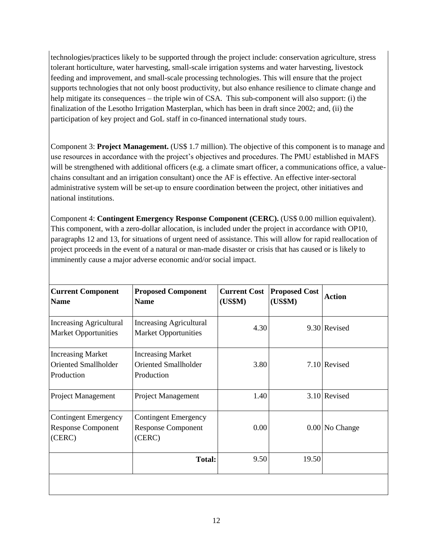technologies/practices likely to be supported through the project include: conservation agriculture, stress tolerant horticulture, water harvesting, small-scale irrigation systems and water harvesting, livestock feeding and improvement, and small-scale processing technologies. This will ensure that the project supports technologies that not only boost productivity, but also enhance resilience to climate change and help mitigate its consequences – the triple win of CSA. This sub-component will also support: (i) the finalization of the Lesotho Irrigation Masterplan, which has been in draft since 2002; and, (ii) the participation of key project and GoL staff in co-financed international study tours.

Component 3: **Project Management.** (US\$ 1.7 million). The objective of this component is to manage and use resources in accordance with the project's objectives and procedures. The PMU established in MAFS will be strengthened with additional officers (e.g. a climate smart officer, a communications office, a valuechains consultant and an irrigation consultant) once the AF is effective. An effective inter-sectoral administrative system will be set-up to ensure coordination between the project, other initiatives and national institutions.

Component 4: **Contingent Emergency Response Component (CERC).** (US\$ 0.00 million equivalent). This component, with a zero-dollar allocation, is included under the project in accordance with OP10, paragraphs 12 and 13, for situations of urgent need of assistance. This will allow for rapid reallocation of project proceeds in the event of a natural or man-made disaster or crisis that has caused or is likely to imminently cause a major adverse economic and/or social impact.

| <b>Current Component</b><br><b>Name</b>                               | <b>Proposed Component</b><br><b>Name</b>                              | <b>Current Cost</b><br>(US\$M) | <b>Proposed Cost</b><br>(US\$M) | <b>Action</b>  |
|-----------------------------------------------------------------------|-----------------------------------------------------------------------|--------------------------------|---------------------------------|----------------|
| <b>Increasing Agricultural</b><br><b>Market Opportunities</b>         | <b>Increasing Agricultural</b><br><b>Market Opportunities</b>         | 4.30                           |                                 | 9.30 Revised   |
| <b>Increasing Market</b><br><b>Oriented Smallholder</b><br>Production | <b>Increasing Market</b><br><b>Oriented Smallholder</b><br>Production | 3.80                           |                                 | 7.10 Revised   |
| Project Management                                                    | Project Management                                                    | 1.40                           |                                 | 3.10 Revised   |
| <b>Contingent Emergency</b><br><b>Response Component</b><br>(CERC)    | <b>Contingent Emergency</b><br><b>Response Component</b><br>(CERC)    | 0.00                           |                                 | 0.00 No Change |
|                                                                       | <b>Total:</b>                                                         | 9.50                           | 19.50                           |                |
|                                                                       |                                                                       |                                |                                 |                |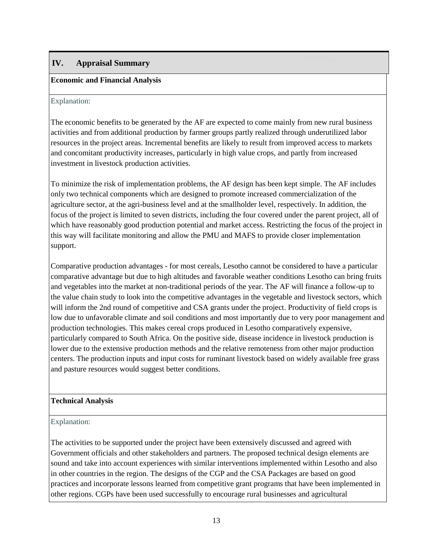# **IV. Appraisal Summary**

#### **Economic and Financial Analysis**

#### Explanation:

The economic benefits to be generated by the AF are expected to come mainly from new rural business activities and from additional production by farmer groups partly realized through underutilized labor resources in the project areas. Incremental benefits are likely to result from improved access to markets and concomitant productivity increases, particularly in high value crops, and partly from increased investment in livestock production activities.

To minimize the risk of implementation problems, the AF design has been kept simple. The AF includes only two technical components which are designed to promote increased commercialization of the agriculture sector, at the agri-business level and at the smallholder level, respectively. In addition, the focus of the project is limited to seven districts, including the four covered under the parent project, all of which have reasonably good production potential and market access. Restricting the focus of the project in this way will facilitate monitoring and allow the PMU and MAFS to provide closer implementation support.

Comparative production advantages - for most cereals, Lesotho cannot be considered to have a particular comparative advantage but due to high altitudes and favorable weather conditions Lesotho can bring fruits and vegetables into the market at non-traditional periods of the year. The AF will finance a follow-up to the value chain study to look into the competitive advantages in the vegetable and livestock sectors, which will inform the 2nd round of competitive and CSA grants under the project. Productivity of field crops is low due to unfavorable climate and soil conditions and most importantly due to very poor management and production technologies. This makes cereal crops produced in Lesotho comparatively expensive, particularly compared to South Africa. On the positive side, disease incidence in livestock production is lower due to the extensive production methods and the relative remoteness from other major production centers. The production inputs and input costs for ruminant livestock based on widely available free grass and pasture resources would suggest better conditions.

#### **Technical Analysis**

#### Explanation:

The activities to be supported under the project have been extensively discussed and agreed with Government officials and other stakeholders and partners. The proposed technical design elements are sound and take into account experiences with similar interventions implemented within Lesotho and also in other countries in the region. The designs of the CGP and the CSA Packages are based on good practices and incorporate lessons learned from competitive grant programs that have been implemented in other regions. CGPs have been used successfully to encourage rural businesses and agricultural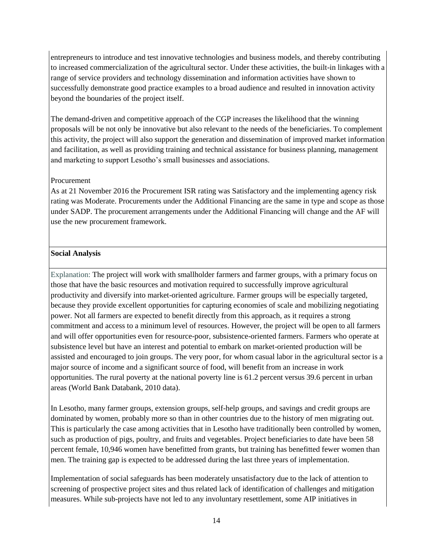entrepreneurs to introduce and test innovative technologies and business models, and thereby contributing to increased commercialization of the agricultural sector. Under these activities, the built-in linkages with a range of service providers and technology dissemination and information activities have shown to successfully demonstrate good practice examples to a broad audience and resulted in innovation activity beyond the boundaries of the project itself.

The demand-driven and competitive approach of the CGP increases the likelihood that the winning proposals will be not only be innovative but also relevant to the needs of the beneficiaries. To complement this activity, the project will also support the generation and dissemination of improved market information and facilitation, as well as providing training and technical assistance for business planning, management and marketing to support Lesotho's small businesses and associations.

#### Procurement

As at 21 November 2016 the Procurement ISR rating was Satisfactory and the implementing agency risk rating was Moderate. Procurements under the Additional Financing are the same in type and scope as those under SADP. The procurement arrangements under the Additional Financing will change and the AF will use the new procurement framework.

#### **Social Analysis**

Explanation: The project will work with smallholder farmers and farmer groups, with a primary focus on those that have the basic resources and motivation required to successfully improve agricultural productivity and diversify into market-oriented agriculture. Farmer groups will be especially targeted, because they provide excellent opportunities for capturing economies of scale and mobilizing negotiating power. Not all farmers are expected to benefit directly from this approach, as it requires a strong commitment and access to a minimum level of resources. However, the project will be open to all farmers and will offer opportunities even for resource-poor, subsistence-oriented farmers. Farmers who operate at subsistence level but have an interest and potential to embark on market-oriented production will be assisted and encouraged to join groups. The very poor, for whom casual labor in the agricultural sector is a major source of income and a significant source of food, will benefit from an increase in work opportunities. The rural poverty at the national poverty line is 61.2 percent versus 39.6 percent in urban areas (World Bank Databank, 2010 data).

In Lesotho, many farmer groups, extension groups, self-help groups, and savings and credit groups are dominated by women, probably more so than in other countries due to the history of men migrating out. This is particularly the case among activities that in Lesotho have traditionally been controlled by women, such as production of pigs, poultry, and fruits and vegetables. Project beneficiaries to date have been 58 percent female, 10,946 women have benefitted from grants, but training has benefitted fewer women than men. The training gap is expected to be addressed during the last three years of implementation.

Implementation of social safeguards has been moderately unsatisfactory due to the lack of attention to screening of prospective project sites and thus related lack of identification of challenges and mitigation measures. While sub-projects have not led to any involuntary resettlement, some AIP initiatives in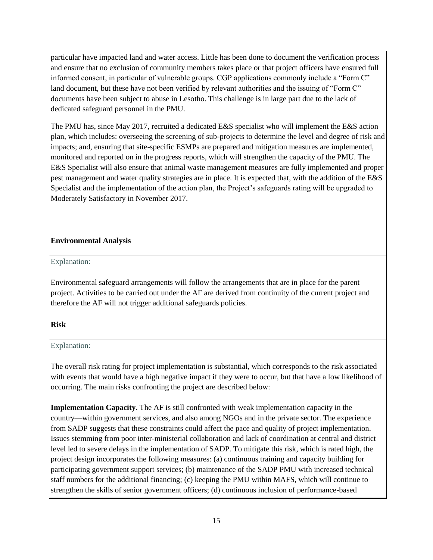particular have impacted land and water access. Little has been done to document the verification process and ensure that no exclusion of community members takes place or that project officers have ensured full informed consent, in particular of vulnerable groups. CGP applications commonly include a "Form C" land document, but these have not been verified by relevant authorities and the issuing of "Form C" documents have been subject to abuse in Lesotho. This challenge is in large part due to the lack of dedicated safeguard personnel in the PMU.

The PMU has, since May 2017, recruited a dedicated E&S specialist who will implement the E&S action plan, which includes: overseeing the screening of sub-projects to determine the level and degree of risk and impacts; and, ensuring that site-specific ESMPs are prepared and mitigation measures are implemented, monitored and reported on in the progress reports, which will strengthen the capacity of the PMU. The E&S Specialist will also ensure that animal waste management measures are fully implemented and proper pest management and water quality strategies are in place. It is expected that, with the addition of the E&S Specialist and the implementation of the action plan, the Project's safeguards rating will be upgraded to Moderately Satisfactory in November 2017.

#### **Environmental Analysis**

Explanation:

Environmental safeguard arrangements will follow the arrangements that are in place for the parent project. Activities to be carried out under the AF are derived from continuity of the current project and therefore the AF will not trigger additional safeguards policies.

#### **Risk** PHHASRISK **PHHASE**

#### Explanation:

The overall risk rating for project implementation is substantial, which corresponds to the risk associated with events that would have a high negative impact if they were to occur, but that have a low likelihood of occurring. The main risks confronting the project are described below:

**Implementation Capacity.** The AF is still confronted with weak implementation capacity in the country—within government services, and also among NGOs and in the private sector. The experience from SADP suggests that these constraints could affect the pace and quality of project implementation. Issues stemming from poor inter-ministerial collaboration and lack of coordination at central and district level led to severe delays in the implementation of SADP. To mitigate this risk, which is rated high, the project design incorporates the following measures: (a) continuous training and capacity building for participating government support services; (b) maintenance of the SADP PMU with increased technical staff numbers for the additional financing; (c) keeping the PMU within MAFS, which will continue to strengthen the skills of senior government officers; (d) continuous inclusion of performance-based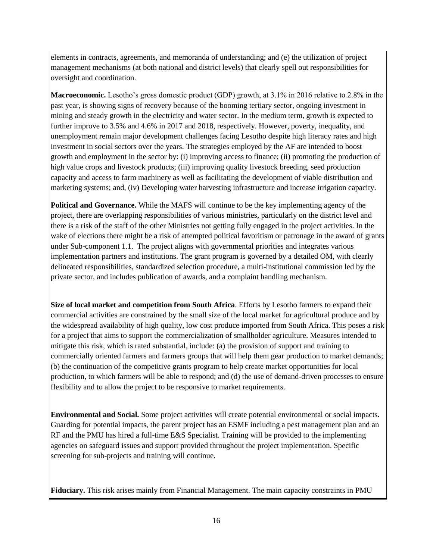elements in contracts, agreements, and memoranda of understanding; and (e) the utilization of project management mechanisms (at both national and district levels) that clearly spell out responsibilities for oversight and coordination.

**Macroeconomic.** Lesotho's gross domestic product (GDP) growth, at 3.1% in 2016 relative to 2.8% in the past year, is showing signs of recovery because of the booming tertiary sector, ongoing investment in mining and steady growth in the electricity and water sector. In the medium term, growth is expected to further improve to 3.5% and 4.6% in 2017 and 2018, respectively. However, poverty, inequality, and unemployment remain major development challenges facing Lesotho despite high literacy rates and high investment in social sectors over the years. The strategies employed by the AF are intended to boost growth and employment in the sector by: (i) improving access to finance; (ii) promoting the production of high value crops and livestock products; (iii) improving quality livestock breeding, seed production capacity and access to farm machinery as well as facilitating the development of viable distribution and marketing systems; and, (iv) Developing water harvesting infrastructure and increase irrigation capacity.

**Political and Governance.** While the MAFS will continue to be the key implementing agency of the project, there are overlapping responsibilities of various ministries, particularly on the district level and there is a risk of the staff of the other Ministries not getting fully engaged in the project activities. In the wake of elections there might be a risk of attempted political favoritism or patronage in the award of grants under Sub-component 1.1. The project aligns with governmental priorities and integrates various implementation partners and institutions. The grant program is governed by a detailed OM, with clearly delineated responsibilities, standardized selection procedure, a multi-institutional commission led by the private sector, and includes publication of awards, and a complaint handling mechanism.

**Size of local market and competition from South Africa**. Efforts by Lesotho farmers to expand their commercial activities are constrained by the small size of the local market for agricultural produce and by the widespread availability of high quality, low cost produce imported from South Africa. This poses a risk for a project that aims to support the commercialization of smallholder agriculture. Measures intended to mitigate this risk, which is rated substantial, include: (a) the provision of support and training to commercially oriented farmers and farmers groups that will help them gear production to market demands; (b) the continuation of the competitive grants program to help create market opportunities for local production, to which farmers will be able to respond; and (d) the use of demand-driven processes to ensure flexibility and to allow the project to be responsive to market requirements.

**Environmental and Social.** Some project activities will create potential environmental or social impacts. Guarding for potential impacts, the parent project has an ESMF including a pest management plan and an RF and the PMU has hired a full-time E&S Specialist. Training will be provided to the implementing agencies on safeguard issues and support provided throughout the project implementation. Specific screening for sub-projects and training will continue.

**Fiduciary.** This risk arises mainly from Financial Management. The main capacity constraints in PMU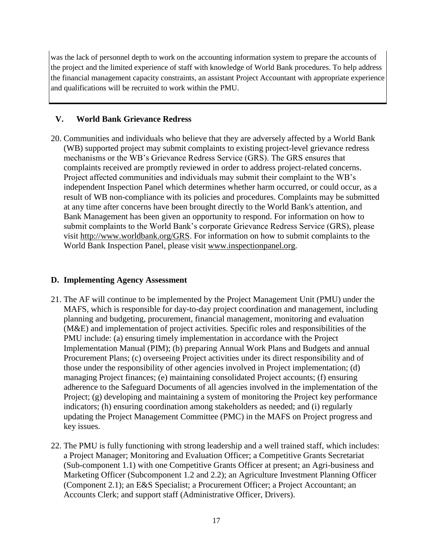was the lack of personnel depth to work on the accounting information system to prepare the accounts of the project and the limited experience of staff with knowledge of World Bank procedures. To help address the financial management capacity constraints, an assistant Project Accountant with appropriate experience and qualifications will be recruited to work within the PMU.

## **V. World Bank Grievance Redress**

20. Communities and individuals who believe that they are adversely affected by a World Bank (WB) supported project may submit complaints to existing project-level grievance redress mechanisms or the WB's Grievance Redress Service (GRS). The GRS ensures that complaints received are promptly reviewed in order to address project-related concerns. Project affected communities and individuals may submit their complaint to the WB's independent Inspection Panel which determines whether harm occurred, or could occur, as a result of WB non-compliance with its policies and procedures. Complaints may be submitted at any time after concerns have been brought directly to the World Bank's attention, and Bank Management has been given an opportunity to respond. For information on how to submit complaints to the World Bank's corporate Grievance Redress Service (GRS), please visit [http://www.worldbank.org/GRS.](http://www.worldbank.org/GRS) For information on how to submit complaints to the World Bank Inspection Panel, please visit [www.inspectionpanel.org.](http://www.inspectionpanel.org/)

#### **D. Implementing Agency Assessment**

- 21. The AF will continue to be implemented by the Project Management Unit (PMU) under the MAFS, which is responsible for day-to-day project coordination and management, including planning and budgeting, procurement, financial management, monitoring and evaluation (M&E) and implementation of project activities. Specific roles and responsibilities of the PMU include: (a) ensuring timely implementation in accordance with the Project Implementation Manual (PIM); (b) preparing Annual Work Plans and Budgets and annual Procurement Plans; (c) overseeing Project activities under its direct responsibility and of those under the responsibility of other agencies involved in Project implementation; (d) managing Project finances; (e) maintaining consolidated Project accounts; (f) ensuring adherence to the Safeguard Documents of all agencies involved in the implementation of the Project; (g) developing and maintaining a system of monitoring the Project key performance indicators; (h) ensuring coordination among stakeholders as needed; and (i) regularly updating the Project Management Committee (PMC) in the MAFS on Project progress and key issues.
- 22. The PMU is fully functioning with strong leadership and a well trained staff, which includes: a Project Manager; Monitoring and Evaluation Officer; a Competitive Grants Secretariat (Sub-component 1.1) with one Competitive Grants Officer at present; an Agri-business and Marketing Officer (Subcomponent 1.2 and 2.2); an Agriculture Investment Planning Officer (Component 2.1); an E&S Specialist; a Procurement Officer; a Project Accountant; an Accounts Clerk; and support staff (Administrative Officer, Drivers).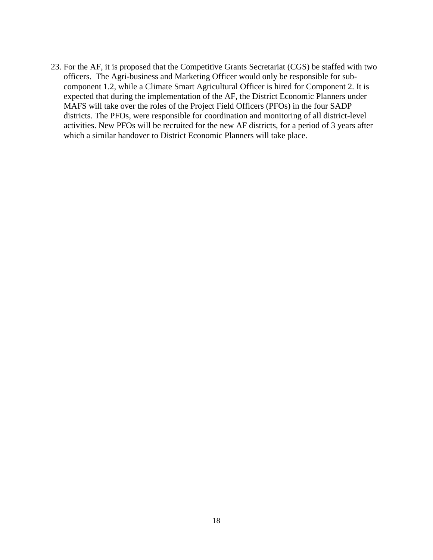23. For the AF, it is proposed that the Competitive Grants Secretariat (CGS) be staffed with two officers. The Agri-business and Marketing Officer would only be responsible for subcomponent 1.2, while a Climate Smart Agricultural Officer is hired for Component 2. It is expected that during the implementation of the AF, the District Economic Planners under MAFS will take over the roles of the Project Field Officers (PFOs) in the four SADP districts. The PFOs, were responsible for coordination and monitoring of all district-level activities. New PFOs will be recruited for the new AF districts, for a period of 3 years after which a similar handover to District Economic Planners will take place.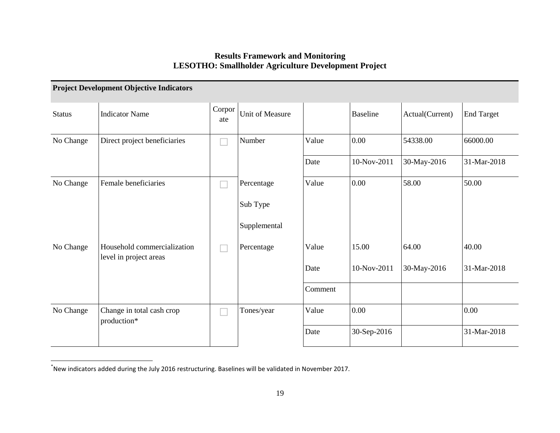## **Results Framework and Monitoring LESOTHO: Smallholder Agriculture Development Project**

|               | <b>Project Development Objective Indicators</b>       |               |                 |         |                 |                 |                   |
|---------------|-------------------------------------------------------|---------------|-----------------|---------|-----------------|-----------------|-------------------|
| <b>Status</b> | <b>Indicator Name</b>                                 | Corpor<br>ate | Unit of Measure |         | <b>Baseline</b> | Actual(Current) | <b>End Target</b> |
| No Change     | Direct project beneficiaries                          |               | Number          | Value   | 0.00            | 54338.00        | 66000.00          |
|               |                                                       |               |                 | Date    | 10-Nov-2011     | 30-May-2016     | 31-Mar-2018       |
| No Change     | Female beneficiaries                                  |               | Percentage      | Value   | 0.00            | 58.00           | 50.00             |
|               |                                                       |               | Sub Type        |         |                 |                 |                   |
|               |                                                       |               | Supplemental    |         |                 |                 |                   |
| No Change     | Household commercialization<br>level in project areas |               | Percentage      | Value   | 15.00           | 64.00           | 40.00             |
|               |                                                       |               |                 | Date    | 10-Nov-2011     | 30-May-2016     | 31-Mar-2018       |
|               |                                                       |               |                 | Comment |                 |                 |                   |
| No Change     | Change in total cash crop<br>production*              |               | Tones/year      | Value   | 0.00            |                 | 0.00              |
|               |                                                       |               |                 | Date    | 30-Sep-2016     |                 | 31-Mar-2018       |

<sup>\*&</sup>lt;br>New indicators added during the July 2016 restructuring. Baselines will be validated in November 2017.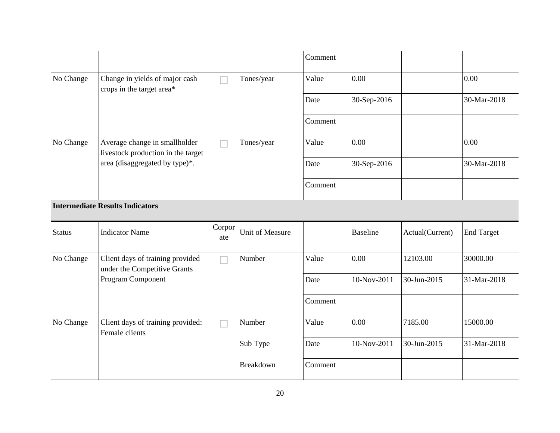|               |                                                                     |               |                        | Comment |                 |                 |                   |
|---------------|---------------------------------------------------------------------|---------------|------------------------|---------|-----------------|-----------------|-------------------|
| No Change     | Change in yields of major cash<br>crops in the target area*         |               | Tones/year             | Value   | 0.00            |                 | 0.00              |
|               |                                                                     |               |                        | Date    | 30-Sep-2016     |                 | 30-Mar-2018       |
|               |                                                                     |               |                        | Comment |                 |                 |                   |
| No Change     | Average change in smallholder<br>livestock production in the target |               | Tones/year             | Value   | 0.00            |                 | 0.00              |
|               | area (disaggregated by type)*.                                      |               |                        | Date    | 30-Sep-2016     |                 | 30-Mar-2018       |
|               |                                                                     |               |                        | Comment |                 |                 |                   |
|               | <b>Intermediate Results Indicators</b>                              |               |                        |         |                 |                 |                   |
| <b>Status</b> | <b>Indicator Name</b>                                               | Corpor<br>ate | <b>Unit of Measure</b> |         | <b>Baseline</b> | Actual(Current) | <b>End Target</b> |
| No Change     | Client days of training provided<br>under the Competitive Grants    |               | Number                 | Value   | 0.00            | 12103.00        | 30000.00          |
|               |                                                                     |               |                        |         |                 |                 |                   |
|               | Program Component                                                   |               |                        | Date    | 10-Nov-2011     | 30-Jun-2015     | 31-Mar-2018       |
|               |                                                                     |               |                        | Comment |                 |                 |                   |
| No Change     | Client days of training provided:                                   |               | Number                 | Value   | 0.00            | 7185.00         | 15000.00          |
|               | Female clients                                                      |               | Sub Type               | Date    | 10-Nov-2011     | 30-Jun-2015     | 31-Mar-2018       |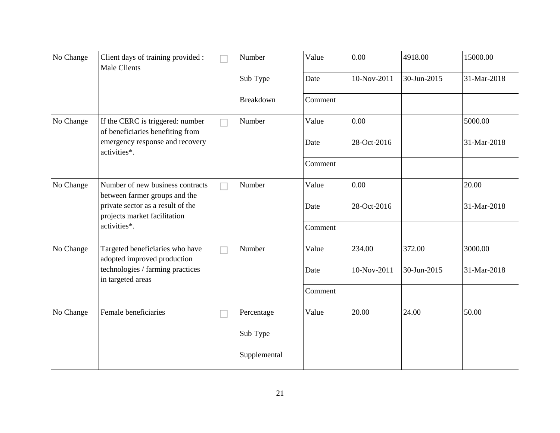| No Change | Client days of training provided :<br><b>Male Clients</b>                                                               |  | Number       | Value   | 0.00        | 4918.00     | 15000.00    |
|-----------|-------------------------------------------------------------------------------------------------------------------------|--|--------------|---------|-------------|-------------|-------------|
|           |                                                                                                                         |  | Sub Type     | Date    | 10-Nov-2011 | 30-Jun-2015 | 31-Mar-2018 |
|           |                                                                                                                         |  | Breakdown    | Comment |             |             |             |
| No Change | If the CERC is triggered: number<br>of beneficiaries benefiting from                                                    |  | Number       | Value   | 0.00        |             | 5000.00     |
|           | emergency response and recovery<br>activities*.                                                                         |  |              | Date    | 28-Oct-2016 |             | 31-Mar-2018 |
|           |                                                                                                                         |  |              | Comment |             |             |             |
| No Change | Number of new business contracts<br>between farmer groups and the                                                       |  | Number       | Value   | 0.00        |             | 20.00       |
|           | private sector as a result of the<br>projects market facilitation<br>activities*.                                       |  |              | Date    | 28-Oct-2016 |             | 31-Mar-2018 |
|           |                                                                                                                         |  |              | Comment |             |             |             |
| No Change | Targeted beneficiaries who have<br>adopted improved production<br>technologies / farming practices<br>in targeted areas |  | Number       | Value   | 234.00      | 372.00      | 3000.00     |
|           |                                                                                                                         |  |              | Date    | 10-Nov-2011 | 30-Jun-2015 | 31-Mar-2018 |
|           |                                                                                                                         |  |              | Comment |             |             |             |
| No Change | Female beneficiaries                                                                                                    |  | Percentage   | Value   | 20.00       | 24.00       | 50.00       |
|           |                                                                                                                         |  | Sub Type     |         |             |             |             |
|           |                                                                                                                         |  | Supplemental |         |             |             |             |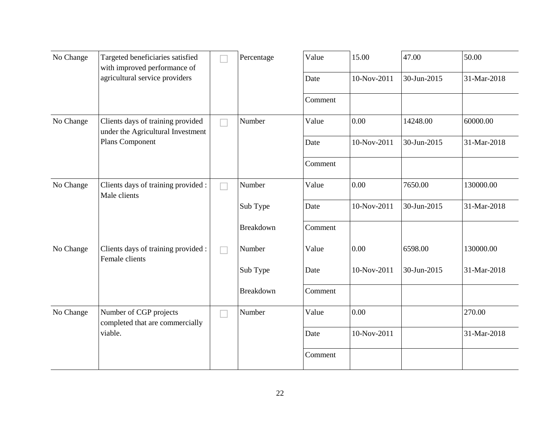| No Change | Targeted beneficiaries satisfied<br>with improved performance of       | Percentage | Value   | 15.00       | 47.00       | 50.00       |
|-----------|------------------------------------------------------------------------|------------|---------|-------------|-------------|-------------|
|           | agricultural service providers                                         |            | Date    | 10-Nov-2011 | 30-Jun-2015 | 31-Mar-2018 |
|           |                                                                        |            | Comment |             |             |             |
| No Change | Clients days of training provided<br>under the Agricultural Investment | Number     | Value   | 0.00        | 14248.00    | 60000.00    |
|           | Plans Component                                                        |            | Date    | 10-Nov-2011 | 30-Jun-2015 | 31-Mar-2018 |
|           |                                                                        |            | Comment |             |             |             |
| No Change | Clients days of training provided :<br>Male clients                    | Number     | Value   | 0.00        | 7650.00     | 130000.00   |
|           |                                                                        | Sub Type   | Date    | 10-Nov-2011 | 30-Jun-2015 | 31-Mar-2018 |
|           |                                                                        | Breakdown  | Comment |             |             |             |
| No Change | Clients days of training provided :<br>Female clients                  | Number     | Value   | 0.00        | 6598.00     | 130000.00   |
|           |                                                                        | Sub Type   | Date    | 10-Nov-2011 | 30-Jun-2015 | 31-Mar-2018 |
|           |                                                                        | Breakdown  | Comment |             |             |             |
| No Change | Number of CGP projects<br>completed that are commercially              | Number     | Value   | 0.00        |             | 270.00      |
|           | viable.                                                                |            | Date    | 10-Nov-2011 |             | 31-Mar-2018 |
|           |                                                                        |            | Comment |             |             |             |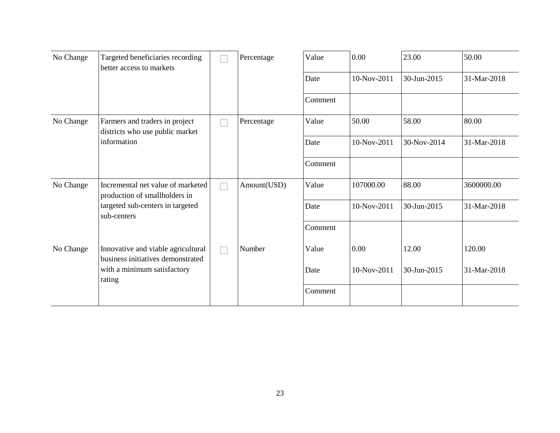| No Change | Targeted beneficiaries recording<br>better access to markets                                                          |  | Percentage  | Value   | 0.00        | 23.00       | 50.00       |
|-----------|-----------------------------------------------------------------------------------------------------------------------|--|-------------|---------|-------------|-------------|-------------|
|           |                                                                                                                       |  |             | Date    | 10-Nov-2011 | 30-Jun-2015 | 31-Mar-2018 |
|           |                                                                                                                       |  |             | Comment |             |             |             |
| No Change | Farmers and traders in project<br>districts who use public market                                                     |  | Percentage  | Value   | 50.00       | 58.00       | 80.00       |
|           | information                                                                                                           |  |             | Date    | 10-Nov-2011 | 30-Nov-2014 | 31-Mar-2018 |
|           |                                                                                                                       |  |             | Comment |             |             |             |
| No Change | Incremental net value of marketed<br>production of smallholders in<br>targeted sub-centers in targeted<br>sub-centers |  | Amount(USD) | Value   | 107000.00   | 88.00       | 3600000.00  |
|           |                                                                                                                       |  |             | Date    | 10-Nov-2011 | 30-Jun-2015 | 31-Mar-2018 |
|           |                                                                                                                       |  |             | Comment |             |             |             |
| No Change | Innovative and viable agricultural<br>business initiatives demonstrated                                               |  | Number      | Value   | 0.00        | 12.00       | 120.00      |
|           | with a minimum satisfactory<br>rating                                                                                 |  |             | Date    | 10-Nov-2011 | 30-Jun-2015 | 31-Mar-2018 |
|           |                                                                                                                       |  |             | Comment |             |             |             |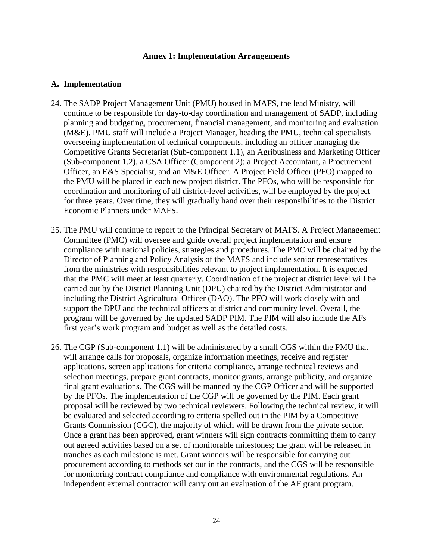#### **Annex 1: Implementation Arrangements**

#### **A. Implementation**

- 24. The SADP Project Management Unit (PMU) housed in MAFS, the lead Ministry, will continue to be responsible for day-to-day coordination and management of SADP, including planning and budgeting, procurement, financial management, and monitoring and evaluation (M&E). PMU staff will include a Project Manager, heading the PMU, technical specialists overseeing implementation of technical components, including an officer managing the Competitive Grants Secretariat (Sub-component 1.1), an Agribusiness and Marketing Officer (Sub-component 1.2), a CSA Officer (Component 2); a Project Accountant, a Procurement Officer, an E&S Specialist, and an M&E Officer. A Project Field Officer (PFO) mapped to the PMU will be placed in each new project district. The PFOs, who will be responsible for coordination and monitoring of all district-level activities, will be employed by the project for three years. Over time, they will gradually hand over their responsibilities to the District Economic Planners under MAFS.
- 25. The PMU will continue to report to the Principal Secretary of MAFS. A Project Management Committee (PMC) will oversee and guide overall project implementation and ensure compliance with national policies, strategies and procedures. The PMC will be chaired by the Director of Planning and Policy Analysis of the MAFS and include senior representatives from the ministries with responsibilities relevant to project implementation. It is expected that the PMC will meet at least quarterly. Coordination of the project at district level will be carried out by the District Planning Unit (DPU) chaired by the District Administrator and including the District Agricultural Officer (DAO). The PFO will work closely with and support the DPU and the technical officers at district and community level. Overall, the program will be governed by the updated SADP PIM. The PIM will also include the AFs first year's work program and budget as well as the detailed costs.
- 26. The CGP (Sub-component 1.1) will be administered by a small CGS within the PMU that will arrange calls for proposals, organize information meetings, receive and register applications, screen applications for criteria compliance, arrange technical reviews and selection meetings, prepare grant contracts, monitor grants, arrange publicity, and organize final grant evaluations. The CGS will be manned by the CGP Officer and will be supported by the PFOs. The implementation of the CGP will be governed by the PIM. Each grant proposal will be reviewed by two technical reviewers. Following the technical review, it will be evaluated and selected according to criteria spelled out in the PIM by a Competitive Grants Commission (CGC), the majority of which will be drawn from the private sector. Once a grant has been approved, grant winners will sign contracts committing them to carry out agreed activities based on a set of monitorable milestones; the grant will be released in tranches as each milestone is met. Grant winners will be responsible for carrying out procurement according to methods set out in the contracts, and the CGS will be responsible for monitoring contract compliance and compliance with environmental regulations. An independent external contractor will carry out an evaluation of the AF grant program.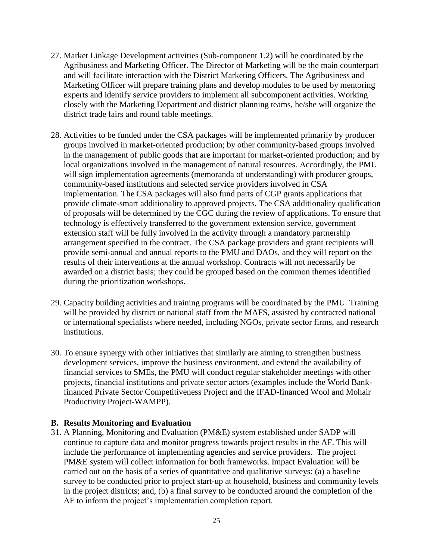- 27. Market Linkage Development activities (Sub-component 1.2) will be coordinated by the Agribusiness and Marketing Officer. The Director of Marketing will be the main counterpart and will facilitate interaction with the District Marketing Officers. The Agribusiness and Marketing Officer will prepare training plans and develop modules to be used by mentoring experts and identify service providers to implement all subcomponent activities. Working closely with the Marketing Department and district planning teams, he/she will organize the district trade fairs and round table meetings.
- 28. Activities to be funded under the CSA packages will be implemented primarily by producer groups involved in market-oriented production; by other community-based groups involved in the management of public goods that are important for market-oriented production; and by local organizations involved in the management of natural resources. Accordingly, the PMU will sign implementation agreements (memoranda of understanding) with producer groups, community-based institutions and selected service providers involved in CSA implementation. The CSA packages will also fund parts of CGP grants applications that provide climate-smart additionality to approved projects. The CSA additionality qualification of proposals will be determined by the CGC during the review of applications. To ensure that technology is effectively transferred to the government extension service, government extension staff will be fully involved in the activity through a mandatory partnership arrangement specified in the contract. The CSA package providers and grant recipients will provide semi-annual and annual reports to the PMU and DAOs, and they will report on the results of their interventions at the annual workshop. Contracts will not necessarily be awarded on a district basis; they could be grouped based on the common themes identified during the prioritization workshops.
- 29. Capacity building activities and training programs will be coordinated by the PMU. Training will be provided by district or national staff from the MAFS, assisted by contracted national or international specialists where needed, including NGOs, private sector firms, and research institutions.
- 30. To ensure synergy with other initiatives that similarly are aiming to strengthen business development services, improve the business environment, and extend the availability of financial services to SMEs, the PMU will conduct regular stakeholder meetings with other projects, financial institutions and private sector actors (examples include the World Bankfinanced Private Sector Competitiveness Project and the IFAD-financed Wool and Mohair Productivity Project-WAMPP).

#### **B. Results Monitoring and Evaluation**

31. A Planning, Monitoring and Evaluation (PM&E) system established under SADP will continue to capture data and monitor progress towards project results in the AF. This will include the performance of implementing agencies and service providers. The project PM&E system will collect information for both frameworks. Impact Evaluation will be carried out on the basis of a series of quantitative and qualitative surveys: (a) a baseline survey to be conducted prior to project start-up at household, business and community levels in the project districts; and, (b) a final survey to be conducted around the completion of the AF to inform the project's implementation completion report.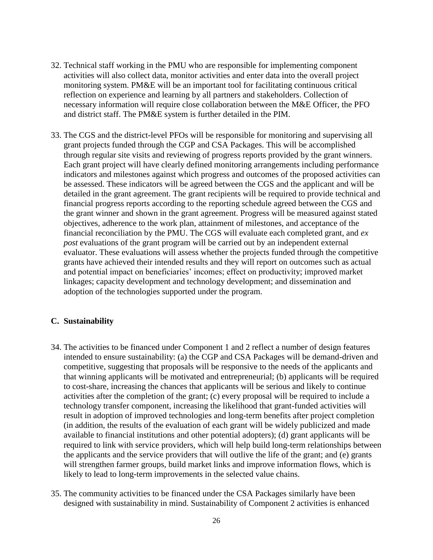- 32. Technical staff working in the PMU who are responsible for implementing component activities will also collect data, monitor activities and enter data into the overall project monitoring system. PM&E will be an important tool for facilitating continuous critical reflection on experience and learning by all partners and stakeholders. Collection of necessary information will require close collaboration between the M&E Officer, the PFO and district staff. The PM&E system is further detailed in the PIM.
- 33. The CGS and the district-level PFOs will be responsible for monitoring and supervising all grant projects funded through the CGP and CSA Packages. This will be accomplished through regular site visits and reviewing of progress reports provided by the grant winners. Each grant project will have clearly defined monitoring arrangements including performance indicators and milestones against which progress and outcomes of the proposed activities can be assessed. These indicators will be agreed between the CGS and the applicant and will be detailed in the grant agreement. The grant recipients will be required to provide technical and financial progress reports according to the reporting schedule agreed between the CGS and the grant winner and shown in the grant agreement. Progress will be measured against stated objectives, adherence to the work plan, attainment of milestones, and acceptance of the financial reconciliation by the PMU. The CGS will evaluate each completed grant, and *ex post* evaluations of the grant program will be carried out by an independent external evaluator. These evaluations will assess whether the projects funded through the competitive grants have achieved their intended results and they will report on outcomes such as actual and potential impact on beneficiaries' incomes; effect on productivity; improved market linkages; capacity development and technology development; and dissemination and adoption of the technologies supported under the program.

#### **C. Sustainability**

- 34. The activities to be financed under Component 1 and 2 reflect a number of design features intended to ensure sustainability: (a) the CGP and CSA Packages will be demand-driven and competitive, suggesting that proposals will be responsive to the needs of the applicants and that winning applicants will be motivated and entrepreneurial; (b) applicants will be required to cost-share, increasing the chances that applicants will be serious and likely to continue activities after the completion of the grant; (c) every proposal will be required to include a technology transfer component, increasing the likelihood that grant-funded activities will result in adoption of improved technologies and long-term benefits after project completion (in addition, the results of the evaluation of each grant will be widely publicized and made available to financial institutions and other potential adopters); (d) grant applicants will be required to link with service providers, which will help build long-term relationships between the applicants and the service providers that will outlive the life of the grant; and (e) grants will strengthen farmer groups, build market links and improve information flows, which is likely to lead to long-term improvements in the selected value chains.
- 35. The community activities to be financed under the CSA Packages similarly have been designed with sustainability in mind. Sustainability of Component 2 activities is enhanced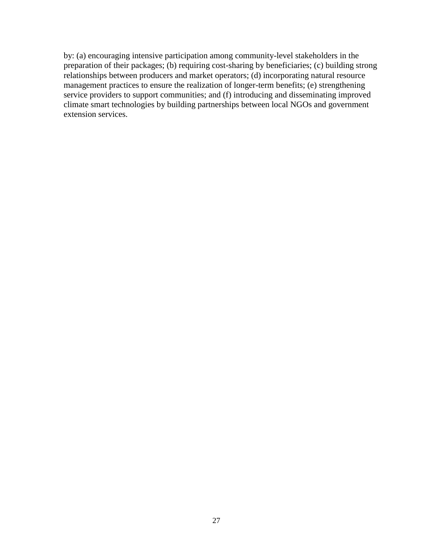by: (a) encouraging intensive participation among community-level stakeholders in the preparation of their packages; (b) requiring cost-sharing by beneficiaries; (c) building strong relationships between producers and market operators; (d) incorporating natural resource management practices to ensure the realization of longer-term benefits; (e) strengthening service providers to support communities; and (f) introducing and disseminating improved climate smart technologies by building partnerships between local NGOs and government extension services.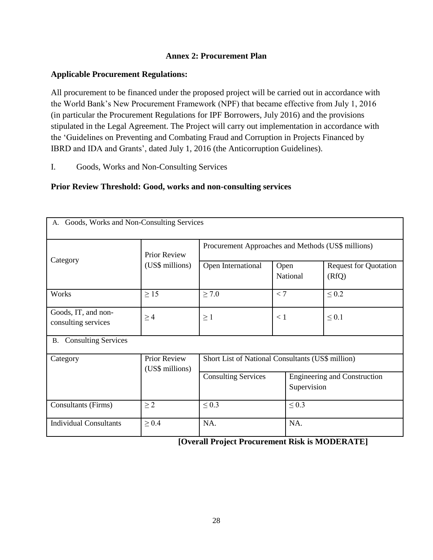## **Annex 2: Procurement Plan**

## **Applicable Procurement Regulations:**

All procurement to be financed under the proposed project will be carried out in accordance with the World Bank's New Procurement Framework (NPF) that became effective from July 1, 2016 (in particular the Procurement Regulations for IPF Borrowers, July 2016) and the provisions stipulated in the Legal Agreement. The Project will carry out implementation in accordance with the 'Guidelines on Preventing and Combating Fraud and Corruption in Projects Financed by IBRD and IDA and Grants', dated July 1, 2016 (the Anticorruption Guidelines).

I. Goods, Works and Non-Consulting Services

## **Prior Review Threshold: Good, works and non-consulting services**

| Goods, Works and Non-Consulting Services<br>А. |                                 |                                                                                  |                  |  |                                       |  |  |
|------------------------------------------------|---------------------------------|----------------------------------------------------------------------------------|------------------|--|---------------------------------------|--|--|
| Category                                       | Prior Review<br>(US\$ millions) | Procurement Approaches and Methods (US\$ millions)                               |                  |  |                                       |  |  |
|                                                |                                 | Open International                                                               | Open<br>National |  | <b>Request for Quotation</b><br>(RfQ) |  |  |
| Works                                          | $\geq$ 15                       | $\geq 7.0$                                                                       | < 7              |  | $\leq 0.2$                            |  |  |
| Goods, IT, and non-<br>consulting services     | $\geq 4$                        | $\geq 1$                                                                         | < 1              |  | $\leq 0.1$                            |  |  |
| <b>B.</b> Consulting Services                  |                                 |                                                                                  |                  |  |                                       |  |  |
| Category                                       | Prior Review<br>(US\$ millions) | Short List of National Consultants (US\$ million)                                |                  |  |                                       |  |  |
|                                                |                                 | <b>Consulting Services</b><br><b>Engineering and Construction</b><br>Supervision |                  |  |                                       |  |  |
| <b>Consultants (Firms)</b>                     | $\geq 2$                        | $\leq 0.3$<br>$\leq 0.3$                                                         |                  |  |                                       |  |  |
| <b>Individual Consultants</b>                  | $\geq 0.4$                      | NA.<br>NA.                                                                       |                  |  |                                       |  |  |

 **[Overall Project Procurement Risk is MODERATE]**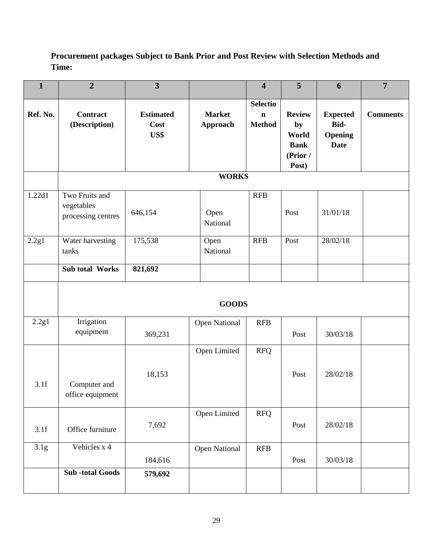# **Procurement packages Subject to Bank Prior and Post Review with Selection Methods and Time:**

| $\mathbf{1}$ | $\overline{2}$                                     | $\overline{\mathbf{3}}$          |                           | $\overline{\mathbf{4}}$                         | 5                                                                | 6                                                        | $\overline{7}$  |
|--------------|----------------------------------------------------|----------------------------------|---------------------------|-------------------------------------------------|------------------------------------------------------------------|----------------------------------------------------------|-----------------|
| Ref. No.     | <b>Contract</b><br>(Description)                   | <b>Estimated</b><br>Cost<br>US\$ | <b>Market</b><br>Approach | <b>Selectio</b><br>$\mathbf n$<br><b>Method</b> | <b>Review</b><br>by<br>World<br><b>Bank</b><br>(Prior /<br>Post) | <b>Expected</b><br>Bid-<br><b>Opening</b><br><b>Date</b> | <b>Comments</b> |
|              |                                                    |                                  | <b>WORKS</b>              |                                                 |                                                                  |                                                          |                 |
| 1.22d1       | Two Fruits and<br>vegetables<br>processing centres | 646,154                          | Open<br>National          | <b>RFB</b>                                      | Post                                                             | 31/01/18                                                 |                 |
| 2.2g1        | Water harvesting<br>tanks                          | 175,538                          | Open<br>National          | <b>RFB</b>                                      | Post                                                             | 28/02/18                                                 |                 |
|              | <b>Sub total Works</b>                             | 821,692                          |                           |                                                 |                                                                  |                                                          |                 |
|              |                                                    |                                  | <b>GOODS</b>              |                                                 |                                                                  |                                                          |                 |
| 2.2g1        | Irrigation<br>equipment                            | 369,231                          | <b>Open National</b>      | <b>RFB</b>                                      | Post                                                             | 30/03/18                                                 |                 |
| 3.1f         | Computer and<br>office equipment                   | 18,153                           | Open Limited              | <b>RFQ</b>                                      | Post                                                             | 28/02/18                                                 |                 |
| 3.1f         | Office furniture                                   | 7,692                            | Open Limited              | <b>RFQ</b>                                      | Post                                                             | 28/02/18                                                 |                 |
| 3.1g         | Vehicles x 4                                       | 184,616                          | <b>Open National</b>      | <b>RFB</b>                                      | Post                                                             | 30/03/18                                                 |                 |
|              | <b>Sub-total Goods</b>                             | 579,692                          |                           |                                                 |                                                                  |                                                          |                 |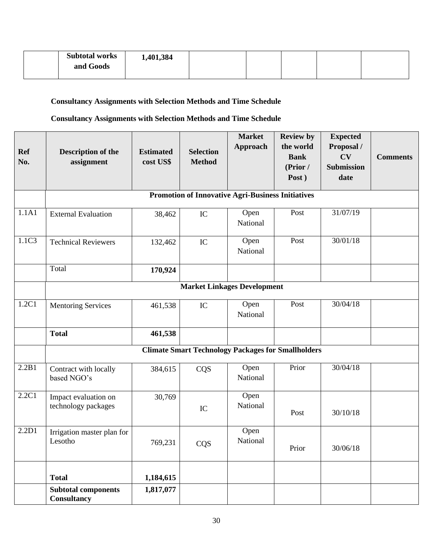| <b>Subtotal works</b><br>and Goods | 1,401,384 |  |  |  |
|------------------------------------|-----------|--|--|--|
|                                    |           |  |  |  |

# **Consultancy Assignments with Selection Methods and Time Schedule**

# **Consultancy Assignments with Selection Methods and Time Schedule**

| <b>Ref</b><br>No. | Description of the<br>assignment                 | <b>Estimated</b><br>cost US\$ | <b>Selection</b><br><b>Method</b> | <b>Market</b><br><b>Approach</b>                         | <b>Review by</b><br>the world<br><b>Bank</b><br>(Prior /<br>Post) | <b>Expected</b><br>Proposal /<br><b>CV</b><br><b>Submission</b><br>date | <b>Comments</b> |  |  |  |
|-------------------|--------------------------------------------------|-------------------------------|-----------------------------------|----------------------------------------------------------|-------------------------------------------------------------------|-------------------------------------------------------------------------|-----------------|--|--|--|
|                   |                                                  |                               |                                   | <b>Promotion of Innovative Agri-Business Initiatives</b> |                                                                   |                                                                         |                 |  |  |  |
|                   |                                                  |                               |                                   |                                                          |                                                                   |                                                                         |                 |  |  |  |
| 1.1A1             | <b>External Evaluation</b>                       | 38,462                        | IC                                | Open<br>National                                         | Post                                                              | 31/07/19                                                                |                 |  |  |  |
| 1.1C3             | <b>Technical Reviewers</b>                       | 132,462                       | IC                                | Open<br>National                                         | Post                                                              | 30/01/18                                                                |                 |  |  |  |
|                   | Total                                            | 170,924                       |                                   |                                                          |                                                                   |                                                                         |                 |  |  |  |
|                   |                                                  |                               |                                   | <b>Market Linkages Development</b>                       |                                                                   |                                                                         |                 |  |  |  |
| 1.2C1             | <b>Mentoring Services</b>                        | 461,538                       | IC                                | Open<br>National                                         | Post                                                              | 30/04/18                                                                |                 |  |  |  |
|                   | <b>Total</b>                                     | 461,538                       |                                   |                                                          |                                                                   |                                                                         |                 |  |  |  |
|                   |                                                  |                               |                                   |                                                          | <b>Climate Smart Technology Packages for Smallholders</b>         |                                                                         |                 |  |  |  |
| 2.2B1             | Contract with locally<br>based NGO's             | 384,615                       | CQS                               | Open<br>National                                         | Prior                                                             | 30/04/18                                                                |                 |  |  |  |
| 2.2C1             | Impact evaluation on<br>technology packages      | 30,769                        | IC                                | Open<br>National                                         | Post                                                              | 30/10/18                                                                |                 |  |  |  |
| 2.2D1             | Irrigation master plan for<br>Lesotho            | 769,231                       | CQS                               | Open<br>National                                         | Prior                                                             | 30/06/18                                                                |                 |  |  |  |
|                   | <b>Total</b>                                     | 1,184,615                     |                                   |                                                          |                                                                   |                                                                         |                 |  |  |  |
|                   | <b>Subtotal components</b><br><b>Consultancy</b> | 1,817,077                     |                                   |                                                          |                                                                   |                                                                         |                 |  |  |  |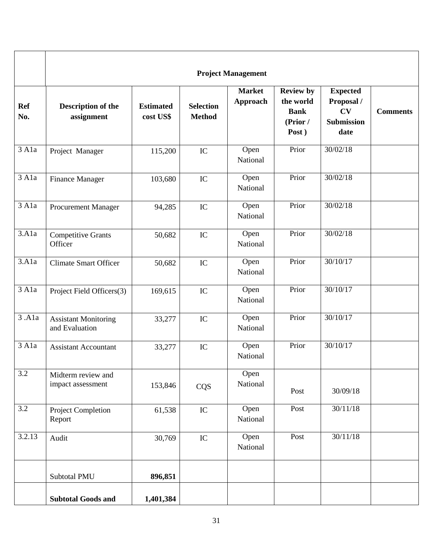|                                 | <b>Project Management</b>                     |                               |                                   |                           |                                                                   |                                                                  |                 |  |
|---------------------------------|-----------------------------------------------|-------------------------------|-----------------------------------|---------------------------|-------------------------------------------------------------------|------------------------------------------------------------------|-----------------|--|
| <b>Ref</b><br>No.               | Description of the<br>assignment              | <b>Estimated</b><br>cost US\$ | <b>Selection</b><br><b>Method</b> | <b>Market</b><br>Approach | <b>Review by</b><br>the world<br><b>Bank</b><br>(Prior /<br>Post) | <b>Expected</b><br>Proposal /<br>CV<br><b>Submission</b><br>date | <b>Comments</b> |  |
| 3 A1a                           | Project Manager                               | 115,200                       | $\rm{IC}$                         | Open<br>National          | Prior                                                             | 30/02/18                                                         |                 |  |
| 3 A1a                           | <b>Finance Manager</b>                        | 103,680                       | $\rm{IC}$                         | Open<br>National          | Prior                                                             | 30/02/18                                                         |                 |  |
| $\overline{3}$ Ala              | <b>Procurement Manager</b>                    | 94,285                        | IC                                | Open<br>National          | Prior                                                             | 30/02/18                                                         |                 |  |
| $\overline{3}$ .A <sub>1a</sub> | <b>Competitive Grants</b><br>Officer          | 50,682                        | IC                                | Open<br>National          | Prior                                                             | 30/02/18                                                         |                 |  |
| 3.A1a                           | <b>Climate Smart Officer</b>                  | 50,682                        | IC                                | Open<br>National          | Prior                                                             | 30/10/17                                                         |                 |  |
| $\overline{3}$ A <sub>1</sub> a | Project Field Officers(3)                     | 169,615                       | IC                                | Open<br>National          | Prior                                                             | 30/10/17                                                         |                 |  |
| $\overline{3}$ .Ala             | <b>Assistant Monitoring</b><br>and Evaluation | 33,277                        | IC                                | Open<br>National          | Prior                                                             | 30/10/17                                                         |                 |  |
| $\overline{3}$ Ala              | <b>Assistant Accountant</b>                   | 33,277                        | $\rm{IC}$                         | Open<br>National          | Prior                                                             | 30/10/17                                                         |                 |  |
| $\overline{3.2}$                | Midterm review and<br>impact assessment       | 153,846                       | CQS                               | Open<br>National          | Post                                                              | 30/09/18                                                         |                 |  |
| $\overline{3.2}$                | Project Completion<br>Report                  | 61,538                        | ${\rm IC}$                        | Open<br>National          | Post                                                              | 30/11/18                                                         |                 |  |
| 3.2.13                          | Audit                                         | 30,769                        | ${\rm IC}$                        | Open<br>National          | Post                                                              | 30/11/18                                                         |                 |  |
|                                 | Subtotal PMU                                  | 896,851                       |                                   |                           |                                                                   |                                                                  |                 |  |
|                                 | <b>Subtotal Goods and</b>                     | 1,401,384                     |                                   |                           |                                                                   |                                                                  |                 |  |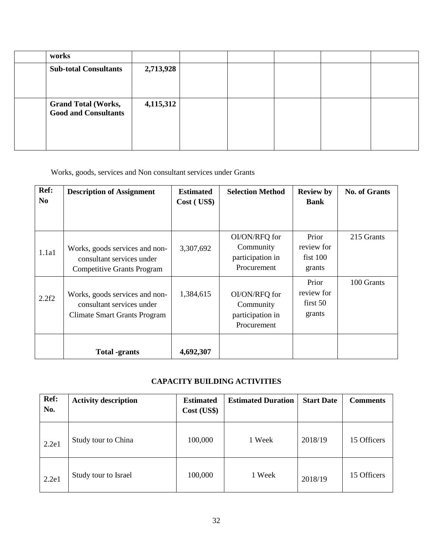| works                                                     |           |  |  |  |
|-----------------------------------------------------------|-----------|--|--|--|
| <b>Sub-total Consultants</b>                              | 2,713,928 |  |  |  |
| <b>Grand Total (Works,</b><br><b>Good and Consultants</b> | 4,115,312 |  |  |  |

Works, goods, services and Non consultant services under Grants

| Ref:<br>N <sub>0</sub> | <b>Description of Assignment</b>                                                                   | <b>Estimated</b><br>Cost ( US\$) | <b>Selection Method</b>                                       | <b>Review by</b><br><b>Bank</b>              | <b>No. of Grants</b> |
|------------------------|----------------------------------------------------------------------------------------------------|----------------------------------|---------------------------------------------------------------|----------------------------------------------|----------------------|
| 1.1a1                  | Works, goods services and non-<br>consultant services under<br><b>Competitive Grants Program</b>   | 3,307,692                        | OI/ON/RFQ for<br>Community<br>participation in<br>Procurement | Prior<br>review for<br>$f$ ist 100<br>grants | 215 Grants           |
| 2.2f2                  | Works, goods services and non-<br>consultant services under<br><b>Climate Smart Grants Program</b> | 1,384,615                        | OI/ON/RFQ for<br>Community<br>participation in<br>Procurement | Prior<br>review for<br>first 50<br>grants    | 100 Grants           |
|                        | <b>Total</b> -grants                                                                               | 4,692,307                        |                                                               |                                              |                      |

# **CAPACITY BUILDING ACTIVITIES**

| Ref:<br>No. | <b>Activity description</b> | <b>Estimated</b><br>Cost (US\$) | <b>Estimated Duration</b> | <b>Start Date</b> | <b>Comments</b> |
|-------------|-----------------------------|---------------------------------|---------------------------|-------------------|-----------------|
| 2.2e1       | Study tour to China         | 100,000                         | 1 Week                    | 2018/19           | 15 Officers     |
| 2.2e1       | Study tour to Israel        | 100,000                         | 1 Week                    | 2018/19           | 15 Officers     |